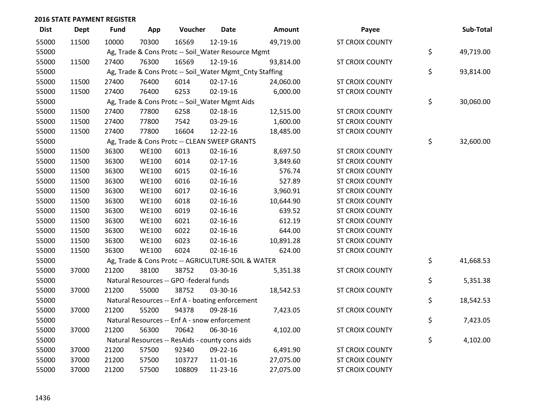| <b>Dist</b> | <b>Dept</b> | <b>Fund</b> | App          | Voucher                                            | <b>Date</b>    | Amount                                                  | Payee                  | Sub-Total       |
|-------------|-------------|-------------|--------------|----------------------------------------------------|----------------|---------------------------------------------------------|------------------------|-----------------|
| 55000       | 11500       | 10000       | 70300        | 16569                                              | 12-19-16       | 49,719.00                                               | <b>ST CROIX COUNTY</b> |                 |
| 55000       |             |             |              | Ag, Trade & Cons Protc -- Soil_Water Resource Mgmt |                |                                                         |                        | \$<br>49,719.00 |
| 55000       | 11500       | 27400       | 76300        | 16569                                              | 12-19-16       | 93,814.00                                               | <b>ST CROIX COUNTY</b> |                 |
| 55000       |             |             |              |                                                    |                | Ag, Trade & Cons Protc -- Soil_Water Mgmt_Cnty Staffing |                        | \$<br>93,814.00 |
| 55000       | 11500       | 27400       | 76400        | 6014                                               | $02 - 17 - 16$ | 24,060.00                                               | <b>ST CROIX COUNTY</b> |                 |
| 55000       | 11500       | 27400       | 76400        | 6253                                               | 02-19-16       | 6,000.00                                                | <b>ST CROIX COUNTY</b> |                 |
| 55000       |             |             |              | Ag, Trade & Cons Protc -- Soil_Water Mgmt Aids     |                |                                                         |                        | \$<br>30,060.00 |
| 55000       | 11500       | 27400       | 77800        | 6258                                               | 02-18-16       | 12,515.00                                               | <b>ST CROIX COUNTY</b> |                 |
| 55000       | 11500       | 27400       | 77800        | 7542                                               | 03-29-16       | 1,600.00                                                | <b>ST CROIX COUNTY</b> |                 |
| 55000       | 11500       | 27400       | 77800        | 16604                                              | 12-22-16       | 18,485.00                                               | ST CROIX COUNTY        |                 |
| 55000       |             |             |              | Ag, Trade & Cons Protc -- CLEAN SWEEP GRANTS       |                |                                                         |                        | \$<br>32,600.00 |
| 55000       | 11500       | 36300       | <b>WE100</b> | 6013                                               | $02 - 16 - 16$ | 8,697.50                                                | <b>ST CROIX COUNTY</b> |                 |
| 55000       | 11500       | 36300       | <b>WE100</b> | 6014                                               | $02 - 17 - 16$ | 3,849.60                                                | <b>ST CROIX COUNTY</b> |                 |
| 55000       | 11500       | 36300       | <b>WE100</b> | 6015                                               | $02 - 16 - 16$ | 576.74                                                  | <b>ST CROIX COUNTY</b> |                 |
| 55000       | 11500       | 36300       | <b>WE100</b> | 6016                                               | 02-16-16       | 527.89                                                  | <b>ST CROIX COUNTY</b> |                 |
| 55000       | 11500       | 36300       | <b>WE100</b> | 6017                                               | $02 - 16 - 16$ | 3,960.91                                                | <b>ST CROIX COUNTY</b> |                 |
| 55000       | 11500       | 36300       | <b>WE100</b> | 6018                                               | $02 - 16 - 16$ | 10,644.90                                               | <b>ST CROIX COUNTY</b> |                 |
| 55000       | 11500       | 36300       | <b>WE100</b> | 6019                                               | $02 - 16 - 16$ | 639.52                                                  | <b>ST CROIX COUNTY</b> |                 |
| 55000       | 11500       | 36300       | <b>WE100</b> | 6021                                               | $02 - 16 - 16$ | 612.19                                                  | <b>ST CROIX COUNTY</b> |                 |
| 55000       | 11500       | 36300       | <b>WE100</b> | 6022                                               | $02 - 16 - 16$ | 644.00                                                  | <b>ST CROIX COUNTY</b> |                 |
| 55000       | 11500       | 36300       | <b>WE100</b> | 6023                                               | $02 - 16 - 16$ | 10,891.28                                               | <b>ST CROIX COUNTY</b> |                 |
| 55000       | 11500       | 36300       | <b>WE100</b> | 6024                                               | $02 - 16 - 16$ | 624.00                                                  | <b>ST CROIX COUNTY</b> |                 |
| 55000       |             |             |              | Ag, Trade & Cons Protc -- AGRICULTURE-SOIL & WATER |                |                                                         |                        | \$<br>41,668.53 |
| 55000       | 37000       | 21200       | 38100        | 38752                                              | 03-30-16       | 5,351.38                                                | <b>ST CROIX COUNTY</b> |                 |
| 55000       |             |             |              | Natural Resources -- GPO -federal funds            |                |                                                         |                        | \$<br>5,351.38  |
| 55000       | 37000       | 21200       | 55000        | 38752                                              | 03-30-16       | 18,542.53                                               | <b>ST CROIX COUNTY</b> |                 |
| 55000       |             |             |              | Natural Resources -- Enf A - boating enforcement   |                |                                                         |                        | \$<br>18,542.53 |
| 55000       | 37000       | 21200       | 55200        | 94378                                              | 09-28-16       | 7,423.05                                                | ST CROIX COUNTY        |                 |
| 55000       |             |             |              | Natural Resources -- Enf A - snow enforcement      |                |                                                         |                        | \$<br>7,423.05  |
| 55000       | 37000       | 21200       | 56300        | 70642                                              | 06-30-16       | 4,102.00                                                | <b>ST CROIX COUNTY</b> |                 |
| 55000       |             |             |              | Natural Resources -- ResAids - county cons aids    |                |                                                         |                        | \$<br>4,102.00  |
| 55000       | 37000       | 21200       | 57500        | 92340                                              | 09-22-16       | 6,491.90                                                | <b>ST CROIX COUNTY</b> |                 |
| 55000       | 37000       | 21200       | 57500        | 103727                                             | 11-01-16       | 27,075.00                                               | <b>ST CROIX COUNTY</b> |                 |
| 55000       | 37000       | 21200       | 57500        | 108809                                             | 11-23-16       | 27,075.00                                               | <b>ST CROIX COUNTY</b> |                 |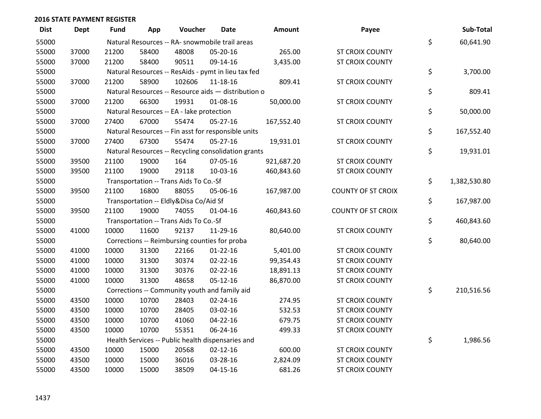| <b>Dist</b> | <b>Dept</b> | <b>Fund</b> | App   | Voucher                                   | <b>Date</b>                                         | <b>Amount</b> | Payee                     | Sub-Total          |
|-------------|-------------|-------------|-------|-------------------------------------------|-----------------------------------------------------|---------------|---------------------------|--------------------|
| 55000       |             |             |       |                                           | Natural Resources -- RA- snowmobile trail areas     |               |                           | \$<br>60,641.90    |
| 55000       | 37000       | 21200       | 58400 | 48008                                     | 05-20-16                                            | 265.00        | ST CROIX COUNTY           |                    |
| 55000       | 37000       | 21200       | 58400 | 90511                                     | 09-14-16                                            | 3,435.00      | <b>ST CROIX COUNTY</b>    |                    |
| 55000       |             |             |       |                                           | Natural Resources -- ResAids - pymt in lieu tax fed |               |                           | \$<br>3,700.00     |
| 55000       | 37000       | 21200       | 58900 | 102606                                    | 11-18-16                                            | 809.41        | ST CROIX COUNTY           |                    |
| 55000       |             |             |       |                                           | Natural Resources -- Resource aids - distribution o |               |                           | \$<br>809.41       |
| 55000       | 37000       | 21200       | 66300 | 19931                                     | 01-08-16                                            | 50,000.00     | <b>ST CROIX COUNTY</b>    |                    |
| 55000       |             |             |       | Natural Resources -- EA - lake protection |                                                     |               |                           | \$<br>50,000.00    |
| 55000       | 37000       | 27400       | 67000 | 55474                                     | 05-27-16                                            | 167,552.40    | ST CROIX COUNTY           |                    |
| 55000       |             |             |       |                                           | Natural Resources -- Fin asst for responsible units |               |                           | \$<br>167,552.40   |
| 55000       | 37000       | 27400       | 67300 | 55474                                     | $05 - 27 - 16$                                      | 19,931.01     | <b>ST CROIX COUNTY</b>    |                    |
| 55000       |             |             |       |                                           | Natural Resources -- Recycling consolidation grants |               |                           | \$<br>19,931.01    |
| 55000       | 39500       | 21100       | 19000 | 164                                       | 07-05-16                                            | 921,687.20    | ST CROIX COUNTY           |                    |
| 55000       | 39500       | 21100       | 19000 | 29118                                     | 10-03-16                                            | 460,843.60    | ST CROIX COUNTY           |                    |
| 55000       |             |             |       | Transportation -- Trans Aids To Co.-Sf    |                                                     |               |                           | \$<br>1,382,530.80 |
| 55000       | 39500       | 21100       | 16800 | 88055                                     | 05-06-16                                            | 167,987.00    | <b>COUNTY OF ST CROIX</b> |                    |
| 55000       |             |             |       | Transportation -- Eldly&Disa Co/Aid Sf    |                                                     |               |                           | \$<br>167,987.00   |
| 55000       | 39500       | 21100       | 19000 | 74055                                     | $01 - 04 - 16$                                      | 460,843.60    | <b>COUNTY OF ST CROIX</b> |                    |
| 55000       |             |             |       | Transportation -- Trans Aids To Co.-Sf    |                                                     |               |                           | \$<br>460,843.60   |
| 55000       | 41000       | 10000       | 11600 | 92137                                     | 11-29-16                                            | 80,640.00     | <b>ST CROIX COUNTY</b>    |                    |
| 55000       |             |             |       |                                           | Corrections -- Reimbursing counties for proba       |               |                           | \$<br>80,640.00    |
| 55000       | 41000       | 10000       | 31300 | 22166                                     | $01 - 22 - 16$                                      | 5,401.00      | ST CROIX COUNTY           |                    |
| 55000       | 41000       | 10000       | 31300 | 30374                                     | $02 - 22 - 16$                                      | 99,354.43     | <b>ST CROIX COUNTY</b>    |                    |
| 55000       | 41000       | 10000       | 31300 | 30376                                     | $02 - 22 - 16$                                      | 18,891.13     | <b>ST CROIX COUNTY</b>    |                    |
| 55000       | 41000       | 10000       | 31300 | 48658                                     | $05-12-16$                                          | 86,870.00     | ST CROIX COUNTY           |                    |
| 55000       |             |             |       |                                           | Corrections -- Community youth and family aid       |               |                           | \$<br>210,516.56   |
| 55000       | 43500       | 10000       | 10700 | 28403                                     | $02 - 24 - 16$                                      | 274.95        | <b>ST CROIX COUNTY</b>    |                    |
| 55000       | 43500       | 10000       | 10700 | 28405                                     | 03-02-16                                            | 532.53        | <b>ST CROIX COUNTY</b>    |                    |
| 55000       | 43500       | 10000       | 10700 | 41060                                     | 04-22-16                                            | 679.75        | <b>ST CROIX COUNTY</b>    |                    |
| 55000       | 43500       | 10000       | 10700 | 55351                                     | 06-24-16                                            | 499.33        | <b>ST CROIX COUNTY</b>    |                    |
| 55000       |             |             |       |                                           | Health Services -- Public health dispensaries and   |               |                           | \$<br>1,986.56     |
| 55000       | 43500       | 10000       | 15000 | 20568                                     | $02 - 12 - 16$                                      | 600.00        | <b>ST CROIX COUNTY</b>    |                    |
| 55000       | 43500       | 10000       | 15000 | 36016                                     | 03-28-16                                            | 2,824.09      | <b>ST CROIX COUNTY</b>    |                    |
| 55000       | 43500       | 10000       | 15000 | 38509                                     | $04 - 15 - 16$                                      | 681.26        | ST CROIX COUNTY           |                    |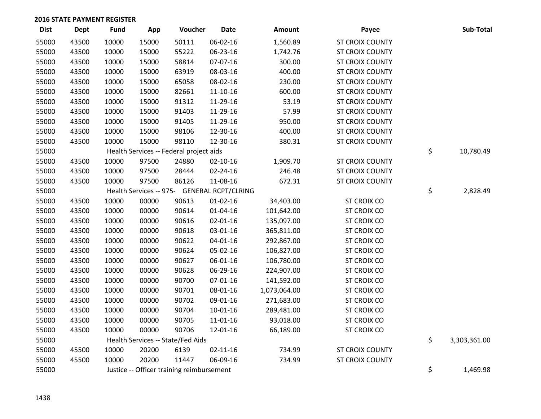| <b>Dist</b> | <b>Dept</b> | <b>Fund</b> | App   | Voucher                                     | <b>Date</b>    | Amount       | Payee                  | Sub-Total          |
|-------------|-------------|-------------|-------|---------------------------------------------|----------------|--------------|------------------------|--------------------|
| 55000       | 43500       | 10000       | 15000 | 50111                                       | 06-02-16       | 1,560.89     | <b>ST CROIX COUNTY</b> |                    |
| 55000       | 43500       | 10000       | 15000 | 55222                                       | 06-23-16       | 1,742.76     | <b>ST CROIX COUNTY</b> |                    |
| 55000       | 43500       | 10000       | 15000 | 58814                                       | 07-07-16       | 300.00       | <b>ST CROIX COUNTY</b> |                    |
| 55000       | 43500       | 10000       | 15000 | 63919                                       | 08-03-16       | 400.00       | <b>ST CROIX COUNTY</b> |                    |
| 55000       | 43500       | 10000       | 15000 | 65058                                       | 08-02-16       | 230.00       | <b>ST CROIX COUNTY</b> |                    |
| 55000       | 43500       | 10000       | 15000 | 82661                                       | $11 - 10 - 16$ | 600.00       | <b>ST CROIX COUNTY</b> |                    |
| 55000       | 43500       | 10000       | 15000 | 91312                                       | 11-29-16       | 53.19        | <b>ST CROIX COUNTY</b> |                    |
| 55000       | 43500       | 10000       | 15000 | 91403                                       | 11-29-16       | 57.99        | <b>ST CROIX COUNTY</b> |                    |
| 55000       | 43500       | 10000       | 15000 | 91405                                       | 11-29-16       | 950.00       | <b>ST CROIX COUNTY</b> |                    |
| 55000       | 43500       | 10000       | 15000 | 98106                                       | 12-30-16       | 400.00       | <b>ST CROIX COUNTY</b> |                    |
| 55000       | 43500       | 10000       | 15000 | 98110                                       | 12-30-16       | 380.31       | <b>ST CROIX COUNTY</b> |                    |
| 55000       |             |             |       | Health Services -- Federal project aids     |                |              |                        | \$<br>10,780.49    |
| 55000       | 43500       | 10000       | 97500 | 24880                                       | $02 - 10 - 16$ | 1,909.70     | <b>ST CROIX COUNTY</b> |                    |
| 55000       | 43500       | 10000       | 97500 | 28444                                       | 02-24-16       | 246.48       | <b>ST CROIX COUNTY</b> |                    |
| 55000       | 43500       | 10000       | 97500 | 86126                                       | 11-08-16       | 672.31       | <b>ST CROIX COUNTY</b> |                    |
| 55000       |             |             |       | Health Services -- 975- GENERAL RCPT/CLRING |                |              |                        | \$<br>2,828.49     |
| 55000       | 43500       | 10000       | 00000 | 90613                                       | $01-02-16$     | 34,403.00    | <b>ST CROIX CO</b>     |                    |
| 55000       | 43500       | 10000       | 00000 | 90614                                       | 01-04-16       | 101,642.00   | <b>ST CROIX CO</b>     |                    |
| 55000       | 43500       | 10000       | 00000 | 90616                                       | $02 - 01 - 16$ | 135,097.00   | <b>ST CROIX CO</b>     |                    |
| 55000       | 43500       | 10000       | 00000 | 90618                                       | 03-01-16       | 365,811.00   | <b>ST CROIX CO</b>     |                    |
| 55000       | 43500       | 10000       | 00000 | 90622                                       | $04 - 01 - 16$ | 292,867.00   | <b>ST CROIX CO</b>     |                    |
| 55000       | 43500       | 10000       | 00000 | 90624                                       | 05-02-16       | 106,827.00   | <b>ST CROIX CO</b>     |                    |
| 55000       | 43500       | 10000       | 00000 | 90627                                       | 06-01-16       | 106,780.00   | <b>ST CROIX CO</b>     |                    |
| 55000       | 43500       | 10000       | 00000 | 90628                                       | 06-29-16       | 224,907.00   | <b>ST CROIX CO</b>     |                    |
| 55000       | 43500       | 10000       | 00000 | 90700                                       | $07 - 01 - 16$ | 141,592.00   | <b>ST CROIX CO</b>     |                    |
| 55000       | 43500       | 10000       | 00000 | 90701                                       | 08-01-16       | 1,073,064.00 | <b>ST CROIX CO</b>     |                    |
| 55000       | 43500       | 10000       | 00000 | 90702                                       | 09-01-16       | 271,683.00   | <b>ST CROIX CO</b>     |                    |
| 55000       | 43500       | 10000       | 00000 | 90704                                       | 10-01-16       | 289,481.00   | <b>ST CROIX CO</b>     |                    |
| 55000       | 43500       | 10000       | 00000 | 90705                                       | 11-01-16       | 93,018.00    | <b>ST CROIX CO</b>     |                    |
| 55000       | 43500       | 10000       | 00000 | 90706                                       | 12-01-16       | 66,189.00    | <b>ST CROIX CO</b>     |                    |
| 55000       |             |             |       | Health Services -- State/Fed Aids           |                |              |                        | \$<br>3,303,361.00 |
| 55000       | 45500       | 10000       | 20200 | 6139                                        | $02 - 11 - 16$ | 734.99       | <b>ST CROIX COUNTY</b> |                    |
| 55000       | 45500       | 10000       | 20200 | 11447                                       | 06-09-16       | 734.99       | <b>ST CROIX COUNTY</b> |                    |
| 55000       |             |             |       | Justice -- Officer training reimbursement   |                |              |                        | \$<br>1,469.98     |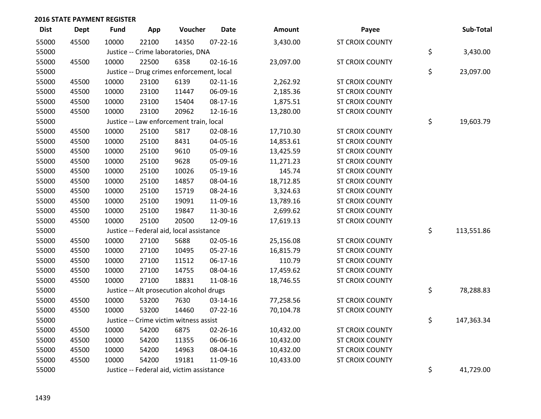| <b>Dist</b> | Dept  | <b>Fund</b> | App   | Voucher                                   | <b>Date</b>    | Amount    | Payee                  | Sub-Total        |
|-------------|-------|-------------|-------|-------------------------------------------|----------------|-----------|------------------------|------------------|
| 55000       | 45500 | 10000       | 22100 | 14350                                     | $07 - 22 - 16$ | 3,430.00  | <b>ST CROIX COUNTY</b> |                  |
| 55000       |       |             |       | Justice -- Crime laboratories, DNA        |                |           |                        | \$<br>3,430.00   |
| 55000       | 45500 | 10000       | 22500 | 6358                                      | $02 - 16 - 16$ | 23,097.00 | <b>ST CROIX COUNTY</b> |                  |
| 55000       |       |             |       | Justice -- Drug crimes enforcement, local |                |           |                        | \$<br>23,097.00  |
| 55000       | 45500 | 10000       | 23100 | 6139                                      | $02 - 11 - 16$ | 2,262.92  | ST CROIX COUNTY        |                  |
| 55000       | 45500 | 10000       | 23100 | 11447                                     | 06-09-16       | 2,185.36  | <b>ST CROIX COUNTY</b> |                  |
| 55000       | 45500 | 10000       | 23100 | 15404                                     | 08-17-16       | 1,875.51  | <b>ST CROIX COUNTY</b> |                  |
| 55000       | 45500 | 10000       | 23100 | 20962                                     | 12-16-16       | 13,280.00 | <b>ST CROIX COUNTY</b> |                  |
| 55000       |       |             |       | Justice -- Law enforcement train, local   |                |           |                        | \$<br>19,603.79  |
| 55000       | 45500 | 10000       | 25100 | 5817                                      | 02-08-16       | 17,710.30 | <b>ST CROIX COUNTY</b> |                  |
| 55000       | 45500 | 10000       | 25100 | 8431                                      | 04-05-16       | 14,853.61 | <b>ST CROIX COUNTY</b> |                  |
| 55000       | 45500 | 10000       | 25100 | 9610                                      | 05-09-16       | 13,425.59 | <b>ST CROIX COUNTY</b> |                  |
| 55000       | 45500 | 10000       | 25100 | 9628                                      | 05-09-16       | 11,271.23 | ST CROIX COUNTY        |                  |
| 55000       | 45500 | 10000       | 25100 | 10026                                     | 05-19-16       | 145.74    | <b>ST CROIX COUNTY</b> |                  |
| 55000       | 45500 | 10000       | 25100 | 14857                                     | 08-04-16       | 18,712.85 | <b>ST CROIX COUNTY</b> |                  |
| 55000       | 45500 | 10000       | 25100 | 15719                                     | 08-24-16       | 3,324.63  | <b>ST CROIX COUNTY</b> |                  |
| 55000       | 45500 | 10000       | 25100 | 19091                                     | 11-09-16       | 13,789.16 | <b>ST CROIX COUNTY</b> |                  |
| 55000       | 45500 | 10000       | 25100 | 19847                                     | 11-30-16       | 2,699.62  | <b>ST CROIX COUNTY</b> |                  |
| 55000       | 45500 | 10000       | 25100 | 20500                                     | 12-09-16       | 17,619.13 | <b>ST CROIX COUNTY</b> |                  |
| 55000       |       |             |       | Justice -- Federal aid, local assistance  |                |           |                        | \$<br>113,551.86 |
| 55000       | 45500 | 10000       | 27100 | 5688                                      | 02-05-16       | 25,156.08 | <b>ST CROIX COUNTY</b> |                  |
| 55000       | 45500 | 10000       | 27100 | 10495                                     | $05 - 27 - 16$ | 16,815.79 | <b>ST CROIX COUNTY</b> |                  |
| 55000       | 45500 | 10000       | 27100 | 11512                                     | 06-17-16       | 110.79    | <b>ST CROIX COUNTY</b> |                  |
| 55000       | 45500 | 10000       | 27100 | 14755                                     | 08-04-16       | 17,459.62 | <b>ST CROIX COUNTY</b> |                  |
| 55000       | 45500 | 10000       | 27100 | 18831                                     | 11-08-16       | 18,746.55 | <b>ST CROIX COUNTY</b> |                  |
| 55000       |       |             |       | Justice -- Alt prosecution alcohol drugs  |                |           |                        | \$<br>78,288.83  |
| 55000       | 45500 | 10000       | 53200 | 7630                                      | 03-14-16       | 77,258.56 | <b>ST CROIX COUNTY</b> |                  |
| 55000       | 45500 | 10000       | 53200 | 14460                                     | $07 - 22 - 16$ | 70,104.78 | <b>ST CROIX COUNTY</b> |                  |
| 55000       |       |             |       | Justice -- Crime victim witness assist    |                |           |                        | \$<br>147,363.34 |
| 55000       | 45500 | 10000       | 54200 | 6875                                      | 02-26-16       | 10,432.00 | ST CROIX COUNTY        |                  |
| 55000       | 45500 | 10000       | 54200 | 11355                                     | 06-06-16       | 10,432.00 | ST CROIX COUNTY        |                  |
| 55000       | 45500 | 10000       | 54200 | 14963                                     | 08-04-16       | 10,432.00 | <b>ST CROIX COUNTY</b> |                  |
| 55000       | 45500 | 10000       | 54200 | 19181                                     | 11-09-16       | 10,433.00 | <b>ST CROIX COUNTY</b> |                  |
| 55000       |       |             |       | Justice -- Federal aid, victim assistance |                |           |                        | \$<br>41,729.00  |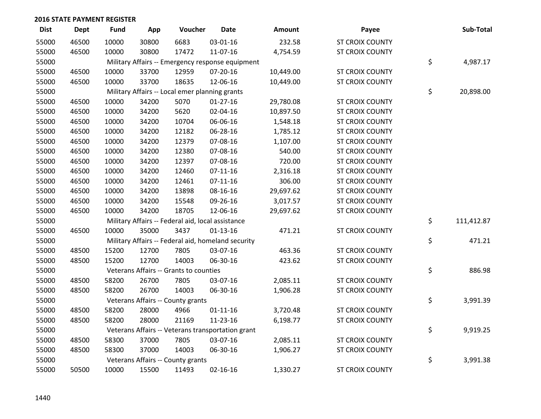| <b>Dist</b> | Dept  | <b>Fund</b> | App   | Voucher                                            | Date           | <b>Amount</b> | Payee                  | Sub-Total        |
|-------------|-------|-------------|-------|----------------------------------------------------|----------------|---------------|------------------------|------------------|
| 55000       | 46500 | 10000       | 30800 | 6683                                               | 03-01-16       | 232.58        | <b>ST CROIX COUNTY</b> |                  |
| 55000       | 46500 | 10000       | 30800 | 17472                                              | 11-07-16       | 4,754.59      | <b>ST CROIX COUNTY</b> |                  |
| 55000       |       |             |       | Military Affairs -- Emergency response equipment   |                |               |                        | \$<br>4,987.17   |
| 55000       | 46500 | 10000       | 33700 | 12959                                              | 07-20-16       | 10,449.00     | ST CROIX COUNTY        |                  |
| 55000       | 46500 | 10000       | 33700 | 18635                                              | 12-06-16       | 10,449.00     | <b>ST CROIX COUNTY</b> |                  |
| 55000       |       |             |       | Military Affairs -- Local emer planning grants     |                |               |                        | \$<br>20,898.00  |
| 55000       | 46500 | 10000       | 34200 | 5070                                               | $01-27-16$     | 29,780.08     | ST CROIX COUNTY        |                  |
| 55000       | 46500 | 10000       | 34200 | 5620                                               | 02-04-16       | 10,897.50     | <b>ST CROIX COUNTY</b> |                  |
| 55000       | 46500 | 10000       | 34200 | 10704                                              | 06-06-16       | 1,548.18      | <b>ST CROIX COUNTY</b> |                  |
| 55000       | 46500 | 10000       | 34200 | 12182                                              | 06-28-16       | 1,785.12      | ST CROIX COUNTY        |                  |
| 55000       | 46500 | 10000       | 34200 | 12379                                              | 07-08-16       | 1,107.00      | <b>ST CROIX COUNTY</b> |                  |
| 55000       | 46500 | 10000       | 34200 | 12380                                              | 07-08-16       | 540.00        | <b>ST CROIX COUNTY</b> |                  |
| 55000       | 46500 | 10000       | 34200 | 12397                                              | 07-08-16       | 720.00        | ST CROIX COUNTY        |                  |
| 55000       | 46500 | 10000       | 34200 | 12460                                              | $07-11-16$     | 2,316.18      | ST CROIX COUNTY        |                  |
| 55000       | 46500 | 10000       | 34200 | 12461                                              | $07-11-16$     | 306.00        | <b>ST CROIX COUNTY</b> |                  |
| 55000       | 46500 | 10000       | 34200 | 13898                                              | 08-16-16       | 29,697.62     | <b>ST CROIX COUNTY</b> |                  |
| 55000       | 46500 | 10000       | 34200 | 15548                                              | 09-26-16       | 3,017.57      | <b>ST CROIX COUNTY</b> |                  |
| 55000       | 46500 | 10000       | 34200 | 18705                                              | 12-06-16       | 29,697.62     | <b>ST CROIX COUNTY</b> |                  |
| 55000       |       |             |       | Military Affairs -- Federal aid, local assistance  |                |               |                        | \$<br>111,412.87 |
| 55000       | 46500 | 10000       | 35000 | 3437                                               | $01-13-16$     | 471.21        | <b>ST CROIX COUNTY</b> |                  |
| 55000       |       |             |       | Military Affairs -- Federal aid, homeland security |                |               |                        | \$<br>471.21     |
| 55000       | 48500 | 15200       | 12700 | 7805                                               | 03-07-16       | 463.36        | <b>ST CROIX COUNTY</b> |                  |
| 55000       | 48500 | 15200       | 12700 | 14003                                              | 06-30-16       | 423.62        | <b>ST CROIX COUNTY</b> |                  |
| 55000       |       |             |       | Veterans Affairs -- Grants to counties             |                |               |                        | \$<br>886.98     |
| 55000       | 48500 | 58200       | 26700 | 7805                                               | 03-07-16       | 2,085.11      | ST CROIX COUNTY        |                  |
| 55000       | 48500 | 58200       | 26700 | 14003                                              | 06-30-16       | 1,906.28      | ST CROIX COUNTY        |                  |
| 55000       |       |             |       | Veterans Affairs -- County grants                  |                |               |                        | \$<br>3,991.39   |
| 55000       | 48500 | 58200       | 28000 | 4966                                               | $01 - 11 - 16$ | 3,720.48      | <b>ST CROIX COUNTY</b> |                  |
| 55000       | 48500 | 58200       | 28000 | 21169                                              | 11-23-16       | 6,198.77      | ST CROIX COUNTY        |                  |
| 55000       |       |             |       | Veterans Affairs -- Veterans transportation grant  |                |               |                        | \$<br>9,919.25   |
| 55000       | 48500 | 58300       | 37000 | 7805                                               | 03-07-16       | 2,085.11      | <b>ST CROIX COUNTY</b> |                  |
| 55000       | 48500 | 58300       | 37000 | 14003                                              | 06-30-16       | 1,906.27      | <b>ST CROIX COUNTY</b> |                  |
| 55000       |       |             |       | Veterans Affairs -- County grants                  |                |               |                        | \$<br>3,991.38   |
| 55000       | 50500 | 10000       | 15500 | 11493                                              | $02 - 16 - 16$ | 1,330.27      | <b>ST CROIX COUNTY</b> |                  |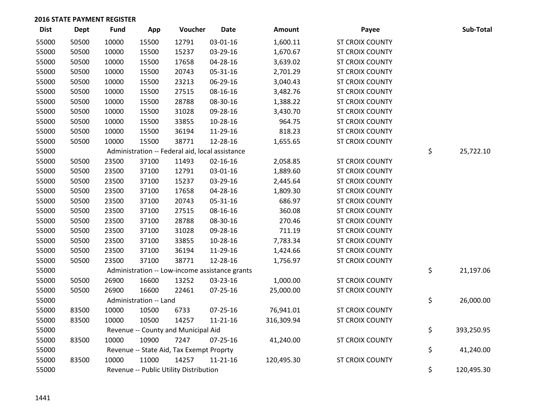| <b>Dist</b> | <b>Dept</b> | Fund  | App                    | Voucher                                         | <b>Date</b>    | Amount     | Payee                  | Sub-Total        |
|-------------|-------------|-------|------------------------|-------------------------------------------------|----------------|------------|------------------------|------------------|
| 55000       | 50500       | 10000 | 15500                  | 12791                                           | 03-01-16       | 1,600.11   | <b>ST CROIX COUNTY</b> |                  |
| 55000       | 50500       | 10000 | 15500                  | 15237                                           | 03-29-16       | 1,670.67   | <b>ST CROIX COUNTY</b> |                  |
| 55000       | 50500       | 10000 | 15500                  | 17658                                           | 04-28-16       | 3,639.02   | <b>ST CROIX COUNTY</b> |                  |
| 55000       | 50500       | 10000 | 15500                  | 20743                                           | 05-31-16       | 2,701.29   | ST CROIX COUNTY        |                  |
| 55000       | 50500       | 10000 | 15500                  | 23213                                           | 06-29-16       | 3,040.43   | ST CROIX COUNTY        |                  |
| 55000       | 50500       | 10000 | 15500                  | 27515                                           | 08-16-16       | 3,482.76   | <b>ST CROIX COUNTY</b> |                  |
| 55000       | 50500       | 10000 | 15500                  | 28788                                           | 08-30-16       | 1,388.22   | <b>ST CROIX COUNTY</b> |                  |
| 55000       | 50500       | 10000 | 15500                  | 31028                                           | 09-28-16       | 3,430.70   | ST CROIX COUNTY        |                  |
| 55000       | 50500       | 10000 | 15500                  | 33855                                           | 10-28-16       | 964.75     | <b>ST CROIX COUNTY</b> |                  |
| 55000       | 50500       | 10000 | 15500                  | 36194                                           | 11-29-16       | 818.23     | <b>ST CROIX COUNTY</b> |                  |
| 55000       | 50500       | 10000 | 15500                  | 38771                                           | 12-28-16       | 1,655.65   | <b>ST CROIX COUNTY</b> |                  |
| 55000       |             |       |                        | Administration -- Federal aid, local assistance |                |            |                        | \$<br>25,722.10  |
| 55000       | 50500       | 23500 | 37100                  | 11493                                           | 02-16-16       | 2,058.85   | ST CROIX COUNTY        |                  |
| 55000       | 50500       | 23500 | 37100                  | 12791                                           | 03-01-16       | 1,889.60   | <b>ST CROIX COUNTY</b> |                  |
| 55000       | 50500       | 23500 | 37100                  | 15237                                           | 03-29-16       | 2,445.64   | <b>ST CROIX COUNTY</b> |                  |
| 55000       | 50500       | 23500 | 37100                  | 17658                                           | 04-28-16       | 1,809.30   | <b>ST CROIX COUNTY</b> |                  |
| 55000       | 50500       | 23500 | 37100                  | 20743                                           | 05-31-16       | 686.97     | <b>ST CROIX COUNTY</b> |                  |
| 55000       | 50500       | 23500 | 37100                  | 27515                                           | 08-16-16       | 360.08     | <b>ST CROIX COUNTY</b> |                  |
| 55000       | 50500       | 23500 | 37100                  | 28788                                           | 08-30-16       | 270.46     | ST CROIX COUNTY        |                  |
| 55000       | 50500       | 23500 | 37100                  | 31028                                           | 09-28-16       | 711.19     | ST CROIX COUNTY        |                  |
| 55000       | 50500       | 23500 | 37100                  | 33855                                           | 10-28-16       | 7,783.34   | <b>ST CROIX COUNTY</b> |                  |
| 55000       | 50500       | 23500 | 37100                  | 36194                                           | 11-29-16       | 1,424.66   | <b>ST CROIX COUNTY</b> |                  |
| 55000       | 50500       | 23500 | 37100                  | 38771                                           | 12-28-16       | 1,756.97   | ST CROIX COUNTY        |                  |
| 55000       |             |       |                        | Administration -- Low-income assistance grants  |                |            |                        | \$<br>21,197.06  |
| 55000       | 50500       | 26900 | 16600                  | 13252                                           | 03-23-16       | 1,000.00   | <b>ST CROIX COUNTY</b> |                  |
| 55000       | 50500       | 26900 | 16600                  | 22461                                           | $07 - 25 - 16$ | 25,000.00  | <b>ST CROIX COUNTY</b> |                  |
| 55000       |             |       | Administration -- Land |                                                 |                |            |                        | \$<br>26,000.00  |
| 55000       | 83500       | 10000 | 10500                  | 6733                                            | 07-25-16       | 76,941.01  | <b>ST CROIX COUNTY</b> |                  |
| 55000       | 83500       | 10000 | 10500                  | 14257                                           | $11 - 21 - 16$ | 316,309.94 | ST CROIX COUNTY        |                  |
| 55000       |             |       |                        | Revenue -- County and Municipal Aid             |                |            |                        | \$<br>393,250.95 |
| 55000       | 83500       | 10000 | 10900                  | 7247                                            | 07-25-16       | 41,240.00  | ST CROIX COUNTY        |                  |
| 55000       |             |       |                        | Revenue -- State Aid, Tax Exempt Proprty        |                |            |                        | \$<br>41,240.00  |
| 55000       | 83500       | 10000 | 11000                  | 14257                                           | $11 - 21 - 16$ | 120,495.30 | <b>ST CROIX COUNTY</b> |                  |
| 55000       |             |       |                        | Revenue -- Public Utility Distribution          |                |            |                        | \$<br>120,495.30 |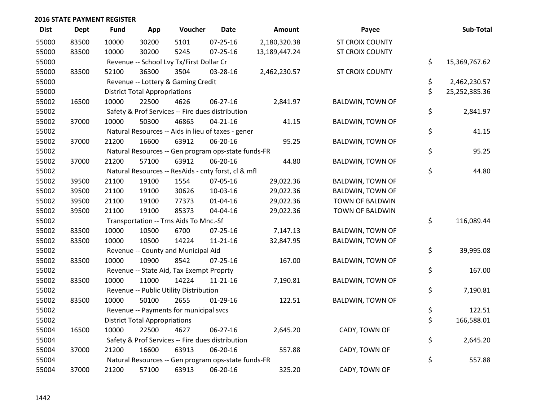| <b>Dist</b> | <b>Dept</b> | <b>Fund</b> | App                                  | Voucher                                             | <b>Date</b>    | Amount        | Payee                   | Sub-Total           |
|-------------|-------------|-------------|--------------------------------------|-----------------------------------------------------|----------------|---------------|-------------------------|---------------------|
| 55000       | 83500       | 10000       | 30200                                | 5101                                                | $07 - 25 - 16$ | 2,180,320.38  | <b>ST CROIX COUNTY</b>  |                     |
| 55000       | 83500       | 10000       | 30200                                | 5245                                                | $07 - 25 - 16$ | 13,189,447.24 | <b>ST CROIX COUNTY</b>  |                     |
| 55000       |             |             |                                      | Revenue -- School Lvy Tx/First Dollar Cr            |                |               |                         | \$<br>15,369,767.62 |
| 55000       | 83500       | 52100       | 36300                                | 3504                                                | 03-28-16       | 2,462,230.57  | ST CROIX COUNTY         |                     |
| 55000       |             |             |                                      | Revenue -- Lottery & Gaming Credit                  |                |               |                         | \$<br>2,462,230.57  |
| 55000       |             |             | <b>District Total Appropriations</b> |                                                     |                |               |                         | \$<br>25,252,385.36 |
| 55002       | 16500       | 10000       | 22500                                | 4626                                                | 06-27-16       | 2,841.97      | <b>BALDWIN, TOWN OF</b> |                     |
| 55002       |             |             |                                      | Safety & Prof Services -- Fire dues distribution    |                |               |                         | \$<br>2,841.97      |
| 55002       | 37000       | 10000       | 50300                                | 46865                                               | $04 - 21 - 16$ | 41.15         | <b>BALDWIN, TOWN OF</b> |                     |
| 55002       |             |             |                                      | Natural Resources -- Aids in lieu of taxes - gener  |                |               |                         | \$<br>41.15         |
| 55002       | 37000       | 21200       | 16600                                | 63912                                               | 06-20-16       | 95.25         | <b>BALDWIN, TOWN OF</b> |                     |
| 55002       |             |             |                                      | Natural Resources -- Gen program ops-state funds-FR |                |               |                         | \$<br>95.25         |
| 55002       | 37000       | 21200       | 57100                                | 63912                                               | 06-20-16       | 44.80         | <b>BALDWIN, TOWN OF</b> |                     |
| 55002       |             |             |                                      | Natural Resources -- ResAids - cnty forst, cl & mfl |                |               |                         | \$<br>44.80         |
| 55002       | 39500       | 21100       | 19100                                | 1554                                                | 07-05-16       | 29,022.36     | <b>BALDWIN, TOWN OF</b> |                     |
| 55002       | 39500       | 21100       | 19100                                | 30626                                               | 10-03-16       | 29,022.36     | BALDWIN, TOWN OF        |                     |
| 55002       | 39500       | 21100       | 19100                                | 77373                                               | $01 - 04 - 16$ | 29,022.36     | TOWN OF BALDWIN         |                     |
| 55002       | 39500       | 21100       | 19100                                | 85373                                               | 04-04-16       | 29,022.36     | TOWN OF BALDWIN         |                     |
| 55002       |             |             |                                      | Transportation -- Trns Aids To Mnc.-Sf              |                |               |                         | \$<br>116,089.44    |
| 55002       | 83500       | 10000       | 10500                                | 6700                                                | 07-25-16       | 7,147.13      | <b>BALDWIN, TOWN OF</b> |                     |
| 55002       | 83500       | 10000       | 10500                                | 14224                                               | $11 - 21 - 16$ | 32,847.95     | <b>BALDWIN, TOWN OF</b> |                     |
| 55002       |             |             |                                      | Revenue -- County and Municipal Aid                 |                |               |                         | \$<br>39,995.08     |
| 55002       | 83500       | 10000       | 10900                                | 8542                                                | $07 - 25 - 16$ | 167.00        | <b>BALDWIN, TOWN OF</b> |                     |
| 55002       |             |             |                                      | Revenue -- State Aid, Tax Exempt Proprty            |                |               |                         | \$<br>167.00        |
| 55002       | 83500       | 10000       | 11000                                | 14224                                               | $11 - 21 - 16$ | 7,190.81      | <b>BALDWIN, TOWN OF</b> |                     |
| 55002       |             |             |                                      | Revenue -- Public Utility Distribution              |                |               |                         | \$<br>7,190.81      |
| 55002       | 83500       | 10000       | 50100                                | 2655                                                | $01-29-16$     | 122.51        | <b>BALDWIN, TOWN OF</b> |                     |
| 55002       |             |             |                                      | Revenue -- Payments for municipal svcs              |                |               |                         | \$<br>122.51        |
| 55002       |             |             | <b>District Total Appropriations</b> |                                                     |                |               |                         | \$<br>166,588.01    |
| 55004       | 16500       | 10000       | 22500                                | 4627                                                | 06-27-16       | 2,645.20      | CADY, TOWN OF           |                     |
| 55004       |             |             |                                      | Safety & Prof Services -- Fire dues distribution    |                |               |                         | \$<br>2,645.20      |
| 55004       | 37000       | 21200       | 16600                                | 63913                                               | 06-20-16       | 557.88        | CADY, TOWN OF           |                     |
| 55004       |             |             |                                      | Natural Resources -- Gen program ops-state funds-FR |                |               |                         | \$<br>557.88        |
| 55004       | 37000       | 21200       | 57100                                | 63913                                               | 06-20-16       | 325.20        | CADY, TOWN OF           |                     |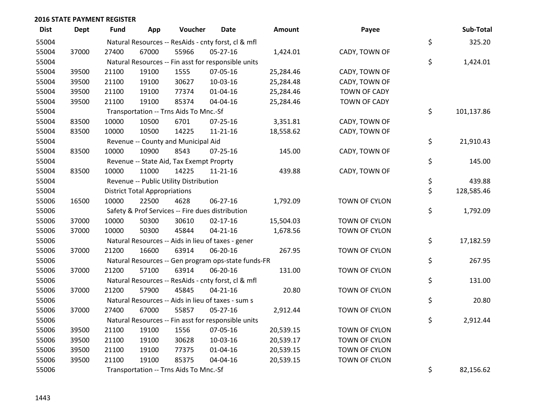| <b>Dist</b> | Dept  | Fund  | App                                  | Voucher                                          | <b>Date</b>                                         | Amount    | Payee         | Sub-Total        |
|-------------|-------|-------|--------------------------------------|--------------------------------------------------|-----------------------------------------------------|-----------|---------------|------------------|
| 55004       |       |       |                                      |                                                  | Natural Resources -- ResAids - cnty forst, cl & mfl |           |               | \$<br>325.20     |
| 55004       | 37000 | 27400 | 67000                                | 55966                                            | 05-27-16                                            | 1,424.01  | CADY, TOWN OF |                  |
| 55004       |       |       |                                      |                                                  | Natural Resources -- Fin asst for responsible units |           |               | \$<br>1,424.01   |
| 55004       | 39500 | 21100 | 19100                                | 1555                                             | 07-05-16                                            | 25,284.46 | CADY, TOWN OF |                  |
| 55004       | 39500 | 21100 | 19100                                | 30627                                            | 10-03-16                                            | 25,284.48 | CADY, TOWN OF |                  |
| 55004       | 39500 | 21100 | 19100                                | 77374                                            | $01 - 04 - 16$                                      | 25,284.46 | TOWN OF CADY  |                  |
| 55004       | 39500 | 21100 | 19100                                | 85374                                            | 04-04-16                                            | 25,284.46 | TOWN OF CADY  |                  |
| 55004       |       |       |                                      | Transportation -- Trns Aids To Mnc.-Sf           |                                                     |           |               | \$<br>101,137.86 |
| 55004       | 83500 | 10000 | 10500                                | 6701                                             | $07 - 25 - 16$                                      | 3,351.81  | CADY, TOWN OF |                  |
| 55004       | 83500 | 10000 | 10500                                | 14225                                            | 11-21-16                                            | 18,558.62 | CADY, TOWN OF |                  |
| 55004       |       |       |                                      | Revenue -- County and Municipal Aid              |                                                     |           |               | \$<br>21,910.43  |
| 55004       | 83500 | 10000 | 10900                                | 8543                                             | $07 - 25 - 16$                                      | 145.00    | CADY, TOWN OF |                  |
| 55004       |       |       |                                      | Revenue -- State Aid, Tax Exempt Proprty         |                                                     |           |               | \$<br>145.00     |
| 55004       | 83500 | 10000 | 11000                                | 14225                                            | $11 - 21 - 16$                                      | 439.88    | CADY, TOWN OF |                  |
| 55004       |       |       |                                      | Revenue -- Public Utility Distribution           |                                                     |           |               | \$<br>439.88     |
| 55004       |       |       | <b>District Total Appropriations</b> |                                                  |                                                     |           |               | \$<br>128,585.46 |
| 55006       | 16500 | 10000 | 22500                                | 4628                                             | 06-27-16                                            | 1,792.09  | TOWN OF CYLON |                  |
| 55006       |       |       |                                      | Safety & Prof Services -- Fire dues distribution |                                                     |           |               | \$<br>1,792.09   |
| 55006       | 37000 | 10000 | 50300                                | 30610                                            | $02 - 17 - 16$                                      | 15,504.03 | TOWN OF CYLON |                  |
| 55006       | 37000 | 10000 | 50300                                | 45844                                            | $04 - 21 - 16$                                      | 1,678.56  | TOWN OF CYLON |                  |
| 55006       |       |       |                                      |                                                  | Natural Resources -- Aids in lieu of taxes - gener  |           |               | \$<br>17,182.59  |
| 55006       | 37000 | 21200 | 16600                                | 63914                                            | 06-20-16                                            | 267.95    | TOWN OF CYLON |                  |
| 55006       |       |       |                                      |                                                  | Natural Resources -- Gen program ops-state funds-FR |           |               | \$<br>267.95     |
| 55006       | 37000 | 21200 | 57100                                | 63914                                            | 06-20-16                                            | 131.00    | TOWN OF CYLON |                  |
| 55006       |       |       |                                      |                                                  | Natural Resources -- ResAids - cnty forst, cl & mfl |           |               | \$<br>131.00     |
| 55006       | 37000 | 21200 | 57900                                | 45845                                            | $04 - 21 - 16$                                      | 20.80     | TOWN OF CYLON |                  |
| 55006       |       |       |                                      |                                                  | Natural Resources -- Aids in lieu of taxes - sum s  |           |               | \$<br>20.80      |
| 55006       | 37000 | 27400 | 67000                                | 55857                                            | 05-27-16                                            | 2,912.44  | TOWN OF CYLON |                  |
| 55006       |       |       |                                      |                                                  | Natural Resources -- Fin asst for responsible units |           |               | \$<br>2,912.44   |
| 55006       | 39500 | 21100 | 19100                                | 1556                                             | 07-05-16                                            | 20,539.15 | TOWN OF CYLON |                  |
| 55006       | 39500 | 21100 | 19100                                | 30628                                            | 10-03-16                                            | 20,539.17 | TOWN OF CYLON |                  |
| 55006       | 39500 | 21100 | 19100                                | 77375                                            | $01 - 04 - 16$                                      | 20,539.15 | TOWN OF CYLON |                  |
| 55006       | 39500 | 21100 | 19100                                | 85375                                            | 04-04-16                                            | 20,539.15 | TOWN OF CYLON |                  |
| 55006       |       |       |                                      | Transportation -- Trns Aids To Mnc.-Sf           |                                                     |           |               | \$<br>82,156.62  |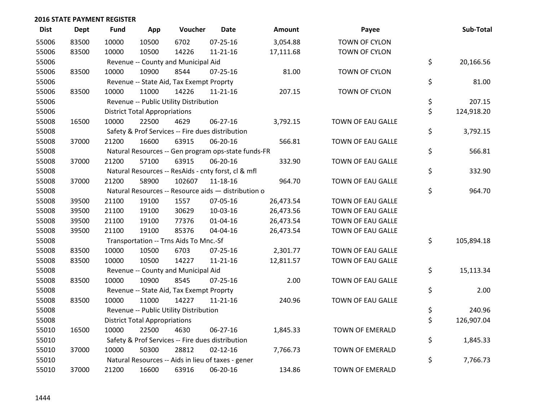| <b>Dist</b> | <b>Dept</b> | <b>Fund</b> | App                                  | Voucher                                  | <b>Date</b>                                         | <b>Amount</b> | Payee                    | Sub-Total        |
|-------------|-------------|-------------|--------------------------------------|------------------------------------------|-----------------------------------------------------|---------------|--------------------------|------------------|
| 55006       | 83500       | 10000       | 10500                                | 6702                                     | 07-25-16                                            | 3,054.88      | TOWN OF CYLON            |                  |
| 55006       | 83500       | 10000       | 10500                                | 14226                                    | $11 - 21 - 16$                                      | 17,111.68     | TOWN OF CYLON            |                  |
| 55006       |             |             |                                      | Revenue -- County and Municipal Aid      |                                                     |               |                          | \$<br>20,166.56  |
| 55006       | 83500       | 10000       | 10900                                | 8544                                     | $07 - 25 - 16$                                      | 81.00         | TOWN OF CYLON            |                  |
| 55006       |             |             |                                      | Revenue -- State Aid, Tax Exempt Proprty |                                                     |               |                          | \$<br>81.00      |
| 55006       | 83500       | 10000       | 11000                                | 14226                                    | 11-21-16                                            | 207.15        | TOWN OF CYLON            |                  |
| 55006       |             |             |                                      | Revenue -- Public Utility Distribution   |                                                     |               |                          | \$<br>207.15     |
| 55006       |             |             | <b>District Total Appropriations</b> |                                          |                                                     |               |                          | \$<br>124,918.20 |
| 55008       | 16500       | 10000       | 22500                                | 4629                                     | $06 - 27 - 16$                                      | 3,792.15      | TOWN OF EAU GALLE        |                  |
| 55008       |             |             |                                      |                                          | Safety & Prof Services -- Fire dues distribution    |               |                          | \$<br>3,792.15   |
| 55008       | 37000       | 21200       | 16600                                | 63915                                    | 06-20-16                                            | 566.81        | TOWN OF EAU GALLE        |                  |
| 55008       |             |             |                                      |                                          | Natural Resources -- Gen program ops-state funds-FR |               |                          | \$<br>566.81     |
| 55008       | 37000       | 21200       | 57100                                | 63915                                    | 06-20-16                                            | 332.90        | TOWN OF EAU GALLE        |                  |
| 55008       |             |             |                                      |                                          | Natural Resources -- ResAids - cnty forst, cl & mfl |               |                          | \$<br>332.90     |
| 55008       | 37000       | 21200       | 58900                                | 102607                                   | 11-18-16                                            | 964.70        | <b>TOWN OF EAU GALLE</b> |                  |
| 55008       |             |             |                                      |                                          | Natural Resources -- Resource aids - distribution o |               |                          | \$<br>964.70     |
| 55008       | 39500       | 21100       | 19100                                | 1557                                     | 07-05-16                                            | 26,473.54     | TOWN OF EAU GALLE        |                  |
| 55008       | 39500       | 21100       | 19100                                | 30629                                    | 10-03-16                                            | 26,473.56     | TOWN OF EAU GALLE        |                  |
| 55008       | 39500       | 21100       | 19100                                | 77376                                    | $01 - 04 - 16$                                      | 26,473.54     | TOWN OF EAU GALLE        |                  |
| 55008       | 39500       | 21100       | 19100                                | 85376                                    | 04-04-16                                            | 26,473.54     | TOWN OF EAU GALLE        |                  |
| 55008       |             |             |                                      | Transportation -- Trns Aids To Mnc.-Sf   |                                                     |               |                          | \$<br>105,894.18 |
| 55008       | 83500       | 10000       | 10500                                | 6703                                     | $07 - 25 - 16$                                      | 2,301.77      | TOWN OF EAU GALLE        |                  |
| 55008       | 83500       | 10000       | 10500                                | 14227                                    | $11 - 21 - 16$                                      | 12,811.57     | TOWN OF EAU GALLE        |                  |
| 55008       |             |             |                                      | Revenue -- County and Municipal Aid      |                                                     |               |                          | \$<br>15,113.34  |
| 55008       | 83500       | 10000       | 10900                                | 8545                                     | $07 - 25 - 16$                                      | 2.00          | <b>TOWN OF EAU GALLE</b> |                  |
| 55008       |             |             |                                      | Revenue -- State Aid, Tax Exempt Proprty |                                                     |               |                          | \$<br>2.00       |
| 55008       | 83500       | 10000       | 11000                                | 14227                                    | $11 - 21 - 16$                                      | 240.96        | TOWN OF EAU GALLE        |                  |
| 55008       |             |             |                                      | Revenue -- Public Utility Distribution   |                                                     |               |                          | \$<br>240.96     |
| 55008       |             |             | <b>District Total Appropriations</b> |                                          |                                                     |               |                          | \$<br>126,907.04 |
| 55010       | 16500       | 10000       | 22500                                | 4630                                     | 06-27-16                                            | 1,845.33      | <b>TOWN OF EMERALD</b>   |                  |
| 55010       |             |             |                                      |                                          | Safety & Prof Services -- Fire dues distribution    |               |                          | \$<br>1,845.33   |
| 55010       | 37000       | 10000       | 50300                                | 28812                                    | $02 - 12 - 16$                                      | 7,766.73      | TOWN OF EMERALD          |                  |
| 55010       |             |             |                                      |                                          | Natural Resources -- Aids in lieu of taxes - gener  |               |                          | \$<br>7,766.73   |
| 55010       | 37000       | 21200       | 16600                                | 63916                                    | 06-20-16                                            | 134.86        | <b>TOWN OF EMERALD</b>   |                  |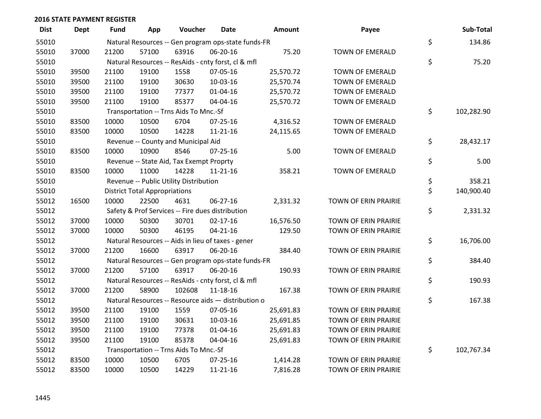| <b>Dist</b> | <b>Dept</b> | <b>Fund</b> | App                                  | Voucher                                  | Date                                                | <b>Amount</b> | Payee                  | Sub-Total        |
|-------------|-------------|-------------|--------------------------------------|------------------------------------------|-----------------------------------------------------|---------------|------------------------|------------------|
| 55010       |             |             |                                      |                                          | Natural Resources -- Gen program ops-state funds-FR |               |                        | \$<br>134.86     |
| 55010       | 37000       | 21200       | 57100                                | 63916                                    | 06-20-16                                            | 75.20         | TOWN OF EMERALD        |                  |
| 55010       |             |             |                                      |                                          | Natural Resources -- ResAids - cnty forst, cl & mfl |               |                        | \$<br>75.20      |
| 55010       | 39500       | 21100       | 19100                                | 1558                                     | 07-05-16                                            | 25,570.72     | TOWN OF EMERALD        |                  |
| 55010       | 39500       | 21100       | 19100                                | 30630                                    | 10-03-16                                            | 25,570.74     | TOWN OF EMERALD        |                  |
| 55010       | 39500       | 21100       | 19100                                | 77377                                    | $01 - 04 - 16$                                      | 25,570.72     | <b>TOWN OF EMERALD</b> |                  |
| 55010       | 39500       | 21100       | 19100                                | 85377                                    | 04-04-16                                            | 25,570.72     | TOWN OF EMERALD        |                  |
| 55010       |             |             |                                      | Transportation -- Trns Aids To Mnc.-Sf   |                                                     |               |                        | \$<br>102,282.90 |
| 55010       | 83500       | 10000       | 10500                                | 6704                                     | $07 - 25 - 16$                                      | 4,316.52      | TOWN OF EMERALD        |                  |
| 55010       | 83500       | 10000       | 10500                                | 14228                                    | $11 - 21 - 16$                                      | 24,115.65     | TOWN OF EMERALD        |                  |
| 55010       |             |             |                                      | Revenue -- County and Municipal Aid      |                                                     |               |                        | \$<br>28,432.17  |
| 55010       | 83500       | 10000       | 10900                                | 8546                                     | $07 - 25 - 16$                                      | 5.00          | TOWN OF EMERALD        |                  |
| 55010       |             |             |                                      | Revenue -- State Aid, Tax Exempt Proprty |                                                     |               |                        | \$<br>5.00       |
| 55010       | 83500       | 10000       | 11000                                | 14228                                    | $11 - 21 - 16$                                      | 358.21        | TOWN OF EMERALD        |                  |
| 55010       |             |             |                                      | Revenue -- Public Utility Distribution   |                                                     |               |                        | \$<br>358.21     |
| 55010       |             |             | <b>District Total Appropriations</b> |                                          |                                                     |               |                        | \$<br>140,900.40 |
| 55012       | 16500       | 10000       | 22500                                | 4631                                     | 06-27-16                                            | 2,331.32      | TOWN OF ERIN PRAIRIE   |                  |
| 55012       |             |             |                                      |                                          | Safety & Prof Services -- Fire dues distribution    |               |                        | \$<br>2,331.32   |
| 55012       | 37000       | 10000       | 50300                                | 30701                                    | $02 - 17 - 16$                                      | 16,576.50     | TOWN OF ERIN PRAIRIE   |                  |
| 55012       | 37000       | 10000       | 50300                                | 46195                                    | $04 - 21 - 16$                                      | 129.50        | TOWN OF ERIN PRAIRIE   |                  |
| 55012       |             |             |                                      |                                          | Natural Resources -- Aids in lieu of taxes - gener  |               |                        | \$<br>16,706.00  |
| 55012       | 37000       | 21200       | 16600                                | 63917                                    | 06-20-16                                            | 384.40        | TOWN OF ERIN PRAIRIE   |                  |
| 55012       |             |             |                                      |                                          | Natural Resources -- Gen program ops-state funds-FR |               |                        | \$<br>384.40     |
| 55012       | 37000       | 21200       | 57100                                | 63917                                    | 06-20-16                                            | 190.93        | TOWN OF ERIN PRAIRIE   |                  |
| 55012       |             |             |                                      |                                          | Natural Resources -- ResAids - cnty forst, cl & mfl |               |                        | \$<br>190.93     |
| 55012       | 37000       | 21200       | 58900                                | 102608                                   | 11-18-16                                            | 167.38        | TOWN OF ERIN PRAIRIE   |                  |
| 55012       |             |             |                                      |                                          | Natural Resources -- Resource aids - distribution o |               |                        | \$<br>167.38     |
| 55012       | 39500       | 21100       | 19100                                | 1559                                     | 07-05-16                                            | 25,691.83     | TOWN OF ERIN PRAIRIE   |                  |
| 55012       | 39500       | 21100       | 19100                                | 30631                                    | 10-03-16                                            | 25,691.85     | TOWN OF ERIN PRAIRIE   |                  |
| 55012       | 39500       | 21100       | 19100                                | 77378                                    | $01 - 04 - 16$                                      | 25,691.83     | TOWN OF ERIN PRAIRIE   |                  |
| 55012       | 39500       | 21100       | 19100                                | 85378                                    | 04-04-16                                            | 25,691.83     | TOWN OF ERIN PRAIRIE   |                  |
| 55012       |             |             |                                      | Transportation -- Trns Aids To Mnc.-Sf   |                                                     |               |                        | \$<br>102,767.34 |
| 55012       | 83500       | 10000       | 10500                                | 6705                                     | 07-25-16                                            | 1,414.28      | TOWN OF ERIN PRAIRIE   |                  |
| 55012       | 83500       | 10000       | 10500                                | 14229                                    | $11 - 21 - 16$                                      | 7,816.28      | TOWN OF ERIN PRAIRIE   |                  |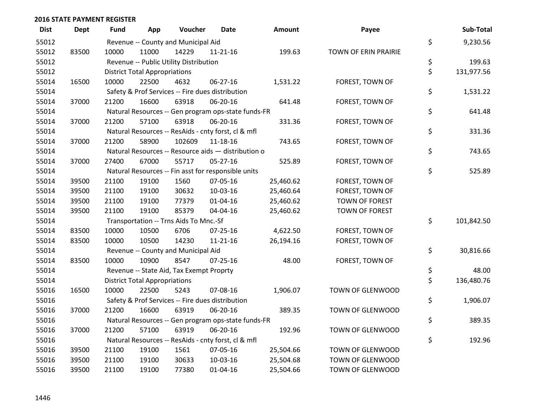| <b>Dist</b> | <b>Dept</b> | <b>Fund</b> | App                                  | Voucher                                             | Date           | <b>Amount</b> | Payee                   | Sub-Total        |
|-------------|-------------|-------------|--------------------------------------|-----------------------------------------------------|----------------|---------------|-------------------------|------------------|
| 55012       |             |             |                                      | Revenue -- County and Municipal Aid                 |                |               |                         | \$<br>9,230.56   |
| 55012       | 83500       | 10000       | 11000                                | 14229                                               | 11-21-16       | 199.63        | TOWN OF ERIN PRAIRIE    |                  |
| 55012       |             |             |                                      | Revenue -- Public Utility Distribution              |                |               |                         | \$<br>199.63     |
| 55012       |             |             | <b>District Total Appropriations</b> |                                                     |                |               |                         | \$<br>131,977.56 |
| 55014       | 16500       | 10000       | 22500                                | 4632                                                | 06-27-16       | 1,531.22      | FOREST, TOWN OF         |                  |
| 55014       |             |             |                                      | Safety & Prof Services -- Fire dues distribution    |                |               |                         | \$<br>1,531.22   |
| 55014       | 37000       | 21200       | 16600                                | 63918                                               | 06-20-16       | 641.48        | FOREST, TOWN OF         |                  |
| 55014       |             |             |                                      | Natural Resources -- Gen program ops-state funds-FR |                |               |                         | \$<br>641.48     |
| 55014       | 37000       | 21200       | 57100                                | 63918                                               | 06-20-16       | 331.36        | FOREST, TOWN OF         |                  |
| 55014       |             |             |                                      | Natural Resources -- ResAids - cnty forst, cl & mfl |                |               |                         | \$<br>331.36     |
| 55014       | 37000       | 21200       | 58900                                | 102609                                              | 11-18-16       | 743.65        | FOREST, TOWN OF         |                  |
| 55014       |             |             |                                      | Natural Resources -- Resource aids - distribution o |                |               |                         | \$<br>743.65     |
| 55014       | 37000       | 27400       | 67000                                | 55717                                               | $05 - 27 - 16$ | 525.89        | FOREST, TOWN OF         |                  |
| 55014       |             |             |                                      | Natural Resources -- Fin asst for responsible units |                |               |                         | \$<br>525.89     |
| 55014       | 39500       | 21100       | 19100                                | 1560                                                | 07-05-16       | 25,460.62     | FOREST, TOWN OF         |                  |
| 55014       | 39500       | 21100       | 19100                                | 30632                                               | 10-03-16       | 25,460.64     | FOREST, TOWN OF         |                  |
| 55014       | 39500       | 21100       | 19100                                | 77379                                               | $01 - 04 - 16$ | 25,460.62     | TOWN OF FOREST          |                  |
| 55014       | 39500       | 21100       | 19100                                | 85379                                               | 04-04-16       | 25,460.62     | <b>TOWN OF FOREST</b>   |                  |
| 55014       |             |             |                                      | Transportation -- Trns Aids To Mnc.-Sf              |                |               |                         | \$<br>101,842.50 |
| 55014       | 83500       | 10000       | 10500                                | 6706                                                | 07-25-16       | 4,622.50      | FOREST, TOWN OF         |                  |
| 55014       | 83500       | 10000       | 10500                                | 14230                                               | $11 - 21 - 16$ | 26,194.16     | FOREST, TOWN OF         |                  |
| 55014       |             |             |                                      | Revenue -- County and Municipal Aid                 |                |               |                         | \$<br>30,816.66  |
| 55014       | 83500       | 10000       | 10900                                | 8547                                                | $07 - 25 - 16$ | 48.00         | FOREST, TOWN OF         |                  |
| 55014       |             |             |                                      | Revenue -- State Aid, Tax Exempt Proprty            |                |               |                         | \$<br>48.00      |
| 55014       |             |             | <b>District Total Appropriations</b> |                                                     |                |               |                         | \$<br>136,480.76 |
| 55016       | 16500       | 10000       | 22500                                | 5243                                                | 07-08-16       | 1,906.07      | TOWN OF GLENWOOD        |                  |
| 55016       |             |             |                                      | Safety & Prof Services -- Fire dues distribution    |                |               |                         | \$<br>1,906.07   |
| 55016       | 37000       | 21200       | 16600                                | 63919                                               | 06-20-16       | 389.35        | TOWN OF GLENWOOD        |                  |
| 55016       |             |             |                                      | Natural Resources -- Gen program ops-state funds-FR |                |               |                         | \$<br>389.35     |
| 55016       | 37000       | 21200       | 57100                                | 63919                                               | 06-20-16       | 192.96        | <b>TOWN OF GLENWOOD</b> |                  |
| 55016       |             |             |                                      | Natural Resources -- ResAids - cnty forst, cl & mfl |                |               |                         | \$<br>192.96     |
| 55016       | 39500       | 21100       | 19100                                | 1561                                                | 07-05-16       | 25,504.66     | TOWN OF GLENWOOD        |                  |
| 55016       | 39500       | 21100       | 19100                                | 30633                                               | 10-03-16       | 25,504.68     | TOWN OF GLENWOOD        |                  |
| 55016       | 39500       | 21100       | 19100                                | 77380                                               | 01-04-16       | 25,504.66     | TOWN OF GLENWOOD        |                  |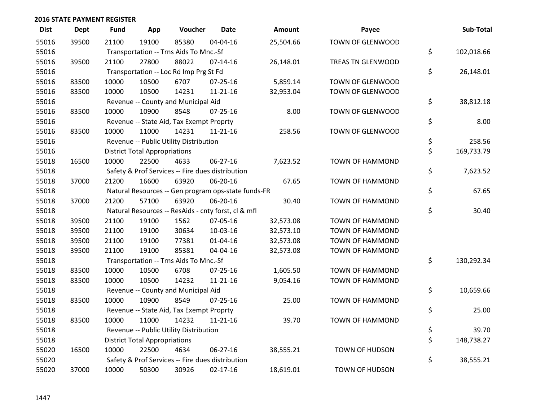| <b>Dist</b> | <b>Dept</b> | <b>Fund</b> | App                                  | Voucher                                  | <b>Date</b>                                         | Amount    | Payee                  | Sub-Total        |
|-------------|-------------|-------------|--------------------------------------|------------------------------------------|-----------------------------------------------------|-----------|------------------------|------------------|
| 55016       | 39500       | 21100       | 19100                                | 85380                                    | 04-04-16                                            | 25,504.66 | TOWN OF GLENWOOD       |                  |
| 55016       |             |             |                                      | Transportation -- Trns Aids To Mnc.-Sf   |                                                     |           |                        | \$<br>102,018.66 |
| 55016       | 39500       | 21100       | 27800                                | 88022                                    | $07 - 14 - 16$                                      | 26,148.01 | TREAS TN GLENWOOD      |                  |
| 55016       |             |             |                                      | Transportation -- Loc Rd Imp Prg St Fd   |                                                     |           |                        | \$<br>26,148.01  |
| 55016       | 83500       | 10000       | 10500                                | 6707                                     | $07 - 25 - 16$                                      | 5,859.14  | TOWN OF GLENWOOD       |                  |
| 55016       | 83500       | 10000       | 10500                                | 14231                                    | $11 - 21 - 16$                                      | 32,953.04 | TOWN OF GLENWOOD       |                  |
| 55016       |             |             |                                      | Revenue -- County and Municipal Aid      |                                                     |           |                        | \$<br>38,812.18  |
| 55016       | 83500       | 10000       | 10900                                | 8548                                     | $07 - 25 - 16$                                      | 8.00      | TOWN OF GLENWOOD       |                  |
| 55016       |             |             |                                      | Revenue -- State Aid, Tax Exempt Proprty |                                                     |           |                        | \$<br>8.00       |
| 55016       | 83500       | 10000       | 11000                                | 14231                                    | 11-21-16                                            | 258.56    | TOWN OF GLENWOOD       |                  |
| 55016       |             |             |                                      | Revenue -- Public Utility Distribution   |                                                     |           |                        | \$<br>258.56     |
| 55016       |             |             | <b>District Total Appropriations</b> |                                          |                                                     |           |                        | \$<br>169,733.79 |
| 55018       | 16500       | 10000       | 22500                                | 4633                                     | 06-27-16                                            | 7,623.52  | <b>TOWN OF HAMMOND</b> |                  |
| 55018       |             |             |                                      |                                          | Safety & Prof Services -- Fire dues distribution    |           |                        | \$<br>7,623.52   |
| 55018       | 37000       | 21200       | 16600                                | 63920                                    | 06-20-16                                            | 67.65     | <b>TOWN OF HAMMOND</b> |                  |
| 55018       |             |             |                                      |                                          | Natural Resources -- Gen program ops-state funds-FR |           |                        | \$<br>67.65      |
| 55018       | 37000       | 21200       | 57100                                | 63920                                    | 06-20-16                                            | 30.40     | <b>TOWN OF HAMMOND</b> |                  |
| 55018       |             |             |                                      |                                          | Natural Resources -- ResAids - cnty forst, cl & mfl |           |                        | \$<br>30.40      |
| 55018       | 39500       | 21100       | 19100                                | 1562                                     | 07-05-16                                            | 32,573.08 | <b>TOWN OF HAMMOND</b> |                  |
| 55018       | 39500       | 21100       | 19100                                | 30634                                    | 10-03-16                                            | 32,573.10 | <b>TOWN OF HAMMOND</b> |                  |
| 55018       | 39500       | 21100       | 19100                                | 77381                                    | $01 - 04 - 16$                                      | 32,573.08 | <b>TOWN OF HAMMOND</b> |                  |
| 55018       | 39500       | 21100       | 19100                                | 85381                                    | 04-04-16                                            | 32,573.08 | <b>TOWN OF HAMMOND</b> |                  |
| 55018       |             |             |                                      | Transportation -- Trns Aids To Mnc.-Sf   |                                                     |           |                        | \$<br>130,292.34 |
| 55018       | 83500       | 10000       | 10500                                | 6708                                     | $07 - 25 - 16$                                      | 1,605.50  | <b>TOWN OF HAMMOND</b> |                  |
| 55018       | 83500       | 10000       | 10500                                | 14232                                    | $11 - 21 - 16$                                      | 9,054.16  | <b>TOWN OF HAMMOND</b> |                  |
| 55018       |             |             |                                      | Revenue -- County and Municipal Aid      |                                                     |           |                        | \$<br>10,659.66  |
| 55018       | 83500       | 10000       | 10900                                | 8549                                     | $07 - 25 - 16$                                      | 25.00     | <b>TOWN OF HAMMOND</b> |                  |
| 55018       |             |             |                                      | Revenue -- State Aid, Tax Exempt Proprty |                                                     |           |                        | \$<br>25.00      |
| 55018       | 83500       | 10000       | 11000                                | 14232                                    | $11 - 21 - 16$                                      | 39.70     | <b>TOWN OF HAMMOND</b> |                  |
| 55018       |             |             |                                      | Revenue -- Public Utility Distribution   |                                                     |           |                        | \$<br>39.70      |
| 55018       |             |             | <b>District Total Appropriations</b> |                                          |                                                     |           |                        | \$<br>148,738.27 |
| 55020       | 16500       | 10000       | 22500                                | 4634                                     | 06-27-16                                            | 38,555.21 | <b>TOWN OF HUDSON</b>  |                  |
| 55020       |             |             |                                      |                                          | Safety & Prof Services -- Fire dues distribution    |           |                        | \$<br>38,555.21  |
| 55020       | 37000       | 10000       | 50300                                | 30926                                    | $02 - 17 - 16$                                      | 18,619.01 | <b>TOWN OF HUDSON</b>  |                  |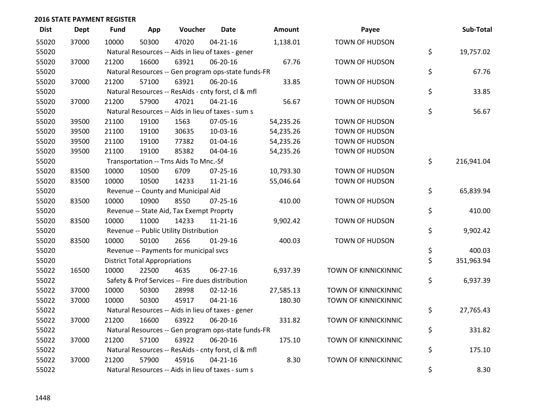| <b>Dist</b> | <b>Dept</b> | <b>Fund</b> | App                                  | Voucher                                             | <b>Date</b>    | Amount    | Payee                       | Sub-Total        |
|-------------|-------------|-------------|--------------------------------------|-----------------------------------------------------|----------------|-----------|-----------------------------|------------------|
| 55020       | 37000       | 10000       | 50300                                | 47020                                               | $04 - 21 - 16$ | 1,138.01  | <b>TOWN OF HUDSON</b>       |                  |
| 55020       |             |             |                                      | Natural Resources -- Aids in lieu of taxes - gener  |                |           |                             | \$<br>19,757.02  |
| 55020       | 37000       | 21200       | 16600                                | 63921                                               | 06-20-16       | 67.76     | <b>TOWN OF HUDSON</b>       |                  |
| 55020       |             |             |                                      | Natural Resources -- Gen program ops-state funds-FR |                |           |                             | \$<br>67.76      |
| 55020       | 37000       | 21200       | 57100                                | 63921                                               | 06-20-16       | 33.85     | <b>TOWN OF HUDSON</b>       |                  |
| 55020       |             |             |                                      | Natural Resources -- ResAids - cnty forst, cl & mfl |                |           |                             | \$<br>33.85      |
| 55020       | 37000       | 21200       | 57900                                | 47021                                               | $04 - 21 - 16$ | 56.67     | <b>TOWN OF HUDSON</b>       |                  |
| 55020       |             |             |                                      | Natural Resources -- Aids in lieu of taxes - sum s  |                |           |                             | \$<br>56.67      |
| 55020       | 39500       | 21100       | 19100                                | 1563                                                | 07-05-16       | 54,235.26 | <b>TOWN OF HUDSON</b>       |                  |
| 55020       | 39500       | 21100       | 19100                                | 30635                                               | 10-03-16       | 54,235.26 | <b>TOWN OF HUDSON</b>       |                  |
| 55020       | 39500       | 21100       | 19100                                | 77382                                               | 01-04-16       | 54,235.26 | <b>TOWN OF HUDSON</b>       |                  |
| 55020       | 39500       | 21100       | 19100                                | 85382                                               | 04-04-16       | 54,235.26 | <b>TOWN OF HUDSON</b>       |                  |
| 55020       |             |             |                                      | Transportation -- Trns Aids To Mnc.-Sf              |                |           |                             | \$<br>216,941.04 |
| 55020       | 83500       | 10000       | 10500                                | 6709                                                | $07 - 25 - 16$ | 10,793.30 | <b>TOWN OF HUDSON</b>       |                  |
| 55020       | 83500       | 10000       | 10500                                | 14233                                               | $11 - 21 - 16$ | 55,046.64 | TOWN OF HUDSON              |                  |
| 55020       |             |             |                                      | Revenue -- County and Municipal Aid                 |                |           |                             | \$<br>65,839.94  |
| 55020       | 83500       | 10000       | 10900                                | 8550                                                | $07 - 25 - 16$ | 410.00    | <b>TOWN OF HUDSON</b>       |                  |
| 55020       |             |             |                                      | Revenue -- State Aid, Tax Exempt Proprty            |                |           |                             | \$<br>410.00     |
| 55020       | 83500       | 10000       | 11000                                | 14233                                               | $11 - 21 - 16$ | 9,902.42  | TOWN OF HUDSON              |                  |
| 55020       |             |             |                                      | Revenue -- Public Utility Distribution              |                |           |                             | \$<br>9,902.42   |
| 55020       | 83500       | 10000       | 50100                                | 2656                                                | $01-29-16$     | 400.03    | <b>TOWN OF HUDSON</b>       |                  |
| 55020       |             |             |                                      | Revenue -- Payments for municipal svcs              |                |           |                             | \$<br>400.03     |
| 55020       |             |             | <b>District Total Appropriations</b> |                                                     |                |           |                             | \$<br>351,963.94 |
| 55022       | 16500       | 10000       | 22500                                | 4635                                                | 06-27-16       | 6,937.39  | TOWN OF KINNICKINNIC        |                  |
| 55022       |             |             |                                      | Safety & Prof Services -- Fire dues distribution    |                |           |                             | \$<br>6,937.39   |
| 55022       | 37000       | 10000       | 50300                                | 28998                                               | $02 - 12 - 16$ | 27,585.13 | TOWN OF KINNICKINNIC        |                  |
| 55022       | 37000       | 10000       | 50300                                | 45917                                               | $04 - 21 - 16$ | 180.30    | TOWN OF KINNICKINNIC        |                  |
| 55022       |             |             |                                      | Natural Resources -- Aids in lieu of taxes - gener  |                |           |                             | \$<br>27,765.43  |
| 55022       | 37000       | 21200       | 16600                                | 63922                                               | 06-20-16       | 331.82    | <b>TOWN OF KINNICKINNIC</b> |                  |
| 55022       |             |             |                                      | Natural Resources -- Gen program ops-state funds-FR |                |           |                             | \$<br>331.82     |
| 55022       | 37000       | 21200       | 57100                                | 63922                                               | 06-20-16       | 175.10    | <b>TOWN OF KINNICKINNIC</b> |                  |
| 55022       |             |             |                                      | Natural Resources -- ResAids - cnty forst, cl & mfl |                |           |                             | \$<br>175.10     |
| 55022       | 37000       | 21200       | 57900                                | 45916                                               | $04 - 21 - 16$ | 8.30      | TOWN OF KINNICKINNIC        |                  |
| 55022       |             |             |                                      | Natural Resources -- Aids in lieu of taxes - sum s  |                |           |                             | \$<br>8.30       |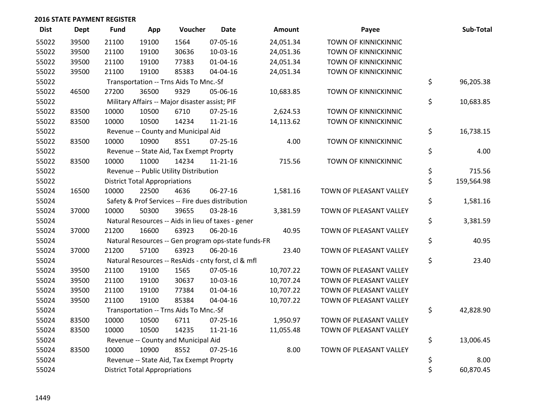| <b>Dist</b> | Dept  | <b>Fund</b> | App                                  | Voucher                                             | <b>Date</b>    | <b>Amount</b> | Payee                       | Sub-Total        |
|-------------|-------|-------------|--------------------------------------|-----------------------------------------------------|----------------|---------------|-----------------------------|------------------|
| 55022       | 39500 | 21100       | 19100                                | 1564                                                | 07-05-16       | 24,051.34     | <b>TOWN OF KINNICKINNIC</b> |                  |
| 55022       | 39500 | 21100       | 19100                                | 30636                                               | 10-03-16       | 24,051.36     | TOWN OF KINNICKINNIC        |                  |
| 55022       | 39500 | 21100       | 19100                                | 77383                                               | $01 - 04 - 16$ | 24,051.34     | TOWN OF KINNICKINNIC        |                  |
| 55022       | 39500 | 21100       | 19100                                | 85383                                               | 04-04-16       | 24,051.34     | TOWN OF KINNICKINNIC        |                  |
| 55022       |       |             |                                      | Transportation -- Trns Aids To Mnc.-Sf              |                |               |                             | \$<br>96,205.38  |
| 55022       | 46500 | 27200       | 36500                                | 9329                                                | 05-06-16       | 10,683.85     | TOWN OF KINNICKINNIC        |                  |
| 55022       |       |             |                                      | Military Affairs -- Major disaster assist; PIF      |                |               |                             | \$<br>10,683.85  |
| 55022       | 83500 | 10000       | 10500                                | 6710                                                | $07 - 25 - 16$ | 2,624.53      | TOWN OF KINNICKINNIC        |                  |
| 55022       | 83500 | 10000       | 10500                                | 14234                                               | $11 - 21 - 16$ | 14,113.62     | TOWN OF KINNICKINNIC        |                  |
| 55022       |       |             |                                      | Revenue -- County and Municipal Aid                 |                |               |                             | \$<br>16,738.15  |
| 55022       | 83500 | 10000       | 10900                                | 8551                                                | $07 - 25 - 16$ | 4.00          | TOWN OF KINNICKINNIC        |                  |
| 55022       |       |             |                                      | Revenue -- State Aid, Tax Exempt Proprty            |                |               |                             | \$<br>4.00       |
| 55022       | 83500 | 10000       | 11000                                | 14234                                               | $11 - 21 - 16$ | 715.56        | TOWN OF KINNICKINNIC        |                  |
| 55022       |       |             |                                      | Revenue -- Public Utility Distribution              |                |               |                             | \$<br>715.56     |
| 55022       |       |             | <b>District Total Appropriations</b> |                                                     |                |               |                             | \$<br>159,564.98 |
| 55024       | 16500 | 10000       | 22500                                | 4636                                                | 06-27-16       | 1,581.16      | TOWN OF PLEASANT VALLEY     |                  |
| 55024       |       |             |                                      | Safety & Prof Services -- Fire dues distribution    |                |               |                             | \$<br>1,581.16   |
| 55024       | 37000 | 10000       | 50300                                | 39655                                               | 03-28-16       | 3,381.59      | TOWN OF PLEASANT VALLEY     |                  |
| 55024       |       |             |                                      | Natural Resources -- Aids in lieu of taxes - gener  |                |               |                             | \$<br>3,381.59   |
| 55024       | 37000 | 21200       | 16600                                | 63923                                               | 06-20-16       | 40.95         | TOWN OF PLEASANT VALLEY     |                  |
| 55024       |       |             |                                      | Natural Resources -- Gen program ops-state funds-FR |                |               |                             | \$<br>40.95      |
| 55024       | 37000 | 21200       | 57100                                | 63923                                               | 06-20-16       | 23.40         | TOWN OF PLEASANT VALLEY     |                  |
| 55024       |       |             |                                      | Natural Resources -- ResAids - cnty forst, cl & mfl |                |               |                             | \$<br>23.40      |
| 55024       | 39500 | 21100       | 19100                                | 1565                                                | 07-05-16       | 10,707.22     | TOWN OF PLEASANT VALLEY     |                  |
| 55024       | 39500 | 21100       | 19100                                | 30637                                               | 10-03-16       | 10,707.24     | TOWN OF PLEASANT VALLEY     |                  |
| 55024       | 39500 | 21100       | 19100                                | 77384                                               | $01 - 04 - 16$ | 10,707.22     | TOWN OF PLEASANT VALLEY     |                  |
| 55024       | 39500 | 21100       | 19100                                | 85384                                               | 04-04-16       | 10,707.22     | TOWN OF PLEASANT VALLEY     |                  |
| 55024       |       |             |                                      | Transportation -- Trns Aids To Mnc.-Sf              |                |               |                             | \$<br>42,828.90  |
| 55024       | 83500 | 10000       | 10500                                | 6711                                                | 07-25-16       | 1,950.97      | TOWN OF PLEASANT VALLEY     |                  |
| 55024       | 83500 | 10000       | 10500                                | 14235                                               | $11 - 21 - 16$ | 11,055.48     | TOWN OF PLEASANT VALLEY     |                  |
| 55024       |       |             |                                      | Revenue -- County and Municipal Aid                 |                |               |                             | \$<br>13,006.45  |
| 55024       | 83500 | 10000       | 10900                                | 8552                                                | $07 - 25 - 16$ | 8.00          | TOWN OF PLEASANT VALLEY     |                  |
| 55024       |       |             |                                      | Revenue -- State Aid, Tax Exempt Proprty            |                |               |                             | \$<br>8.00       |
| 55024       |       |             | <b>District Total Appropriations</b> |                                                     |                |               |                             | \$<br>60,870.45  |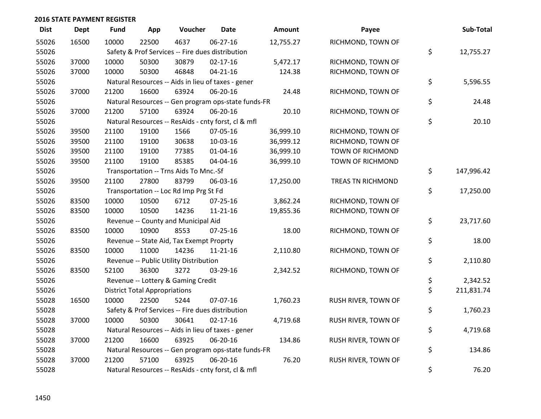| <b>Dist</b> | Dept  | <b>Fund</b> | App                                  | Voucher                                             | <b>Date</b>    | <b>Amount</b> | Payee                   | Sub-Total        |
|-------------|-------|-------------|--------------------------------------|-----------------------------------------------------|----------------|---------------|-------------------------|------------------|
| 55026       | 16500 | 10000       | 22500                                | 4637                                                | 06-27-16       | 12,755.27     | RICHMOND, TOWN OF       |                  |
| 55026       |       |             |                                      | Safety & Prof Services -- Fire dues distribution    |                |               |                         | \$<br>12,755.27  |
| 55026       | 37000 | 10000       | 50300                                | 30879                                               | $02 - 17 - 16$ | 5,472.17      | RICHMOND, TOWN OF       |                  |
| 55026       | 37000 | 10000       | 50300                                | 46848                                               | $04 - 21 - 16$ | 124.38        | RICHMOND, TOWN OF       |                  |
| 55026       |       |             |                                      | Natural Resources -- Aids in lieu of taxes - gener  |                |               |                         | \$<br>5,596.55   |
| 55026       | 37000 | 21200       | 16600                                | 63924                                               | 06-20-16       | 24.48         | RICHMOND, TOWN OF       |                  |
| 55026       |       |             |                                      | Natural Resources -- Gen program ops-state funds-FR |                |               |                         | \$<br>24.48      |
| 55026       | 37000 | 21200       | 57100                                | 63924                                               | 06-20-16       | 20.10         | RICHMOND, TOWN OF       |                  |
| 55026       |       |             |                                      | Natural Resources -- ResAids - cnty forst, cl & mfl |                |               |                         | \$<br>20.10      |
| 55026       | 39500 | 21100       | 19100                                | 1566                                                | 07-05-16       | 36,999.10     | RICHMOND, TOWN OF       |                  |
| 55026       | 39500 | 21100       | 19100                                | 30638                                               | 10-03-16       | 36,999.12     | RICHMOND, TOWN OF       |                  |
| 55026       | 39500 | 21100       | 19100                                | 77385                                               | $01 - 04 - 16$ | 36,999.10     | <b>TOWN OF RICHMOND</b> |                  |
| 55026       | 39500 | 21100       | 19100                                | 85385                                               | 04-04-16       | 36,999.10     | TOWN OF RICHMOND        |                  |
| 55026       |       |             |                                      | Transportation -- Trns Aids To Mnc.-Sf              |                |               |                         | \$<br>147,996.42 |
| 55026       | 39500 | 21100       | 27800                                | 83799                                               | 06-03-16       | 17,250.00     | TREAS TN RICHMOND       |                  |
| 55026       |       |             |                                      | Transportation -- Loc Rd Imp Prg St Fd              |                |               |                         | \$<br>17,250.00  |
| 55026       | 83500 | 10000       | 10500                                | 6712                                                | $07 - 25 - 16$ | 3,862.24      | RICHMOND, TOWN OF       |                  |
| 55026       | 83500 | 10000       | 10500                                | 14236                                               | $11 - 21 - 16$ | 19,855.36     | RICHMOND, TOWN OF       |                  |
| 55026       |       |             |                                      | Revenue -- County and Municipal Aid                 |                |               |                         | \$<br>23,717.60  |
| 55026       | 83500 | 10000       | 10900                                | 8553                                                | 07-25-16       | 18.00         | RICHMOND, TOWN OF       |                  |
| 55026       |       |             |                                      | Revenue -- State Aid, Tax Exempt Proprty            |                |               |                         | \$<br>18.00      |
| 55026       | 83500 | 10000       | 11000                                | 14236                                               | $11 - 21 - 16$ | 2,110.80      | RICHMOND, TOWN OF       |                  |
| 55026       |       |             |                                      | Revenue -- Public Utility Distribution              |                |               |                         | \$<br>2,110.80   |
| 55026       | 83500 | 52100       | 36300                                | 3272                                                | 03-29-16       | 2,342.52      | RICHMOND, TOWN OF       |                  |
| 55026       |       |             |                                      | Revenue -- Lottery & Gaming Credit                  |                |               |                         | \$<br>2,342.52   |
| 55026       |       |             | <b>District Total Appropriations</b> |                                                     |                |               |                         | \$<br>211,831.74 |
| 55028       | 16500 | 10000       | 22500                                | 5244                                                | 07-07-16       | 1,760.23      | RUSH RIVER, TOWN OF     |                  |
| 55028       |       |             |                                      | Safety & Prof Services -- Fire dues distribution    |                |               |                         | \$<br>1,760.23   |
| 55028       | 37000 | 10000       | 50300                                | 30641                                               | $02 - 17 - 16$ | 4,719.68      | RUSH RIVER, TOWN OF     |                  |
| 55028       |       |             |                                      | Natural Resources -- Aids in lieu of taxes - gener  |                |               |                         | \$<br>4,719.68   |
| 55028       | 37000 | 21200       | 16600                                | 63925                                               | 06-20-16       | 134.86        | RUSH RIVER, TOWN OF     |                  |
| 55028       |       |             |                                      | Natural Resources -- Gen program ops-state funds-FR |                |               |                         | \$<br>134.86     |
| 55028       | 37000 | 21200       | 57100                                | 63925                                               | 06-20-16       | 76.20         | RUSH RIVER, TOWN OF     |                  |
| 55028       |       |             |                                      | Natural Resources -- ResAids - cnty forst, cl & mfl |                |               |                         | \$<br>76.20      |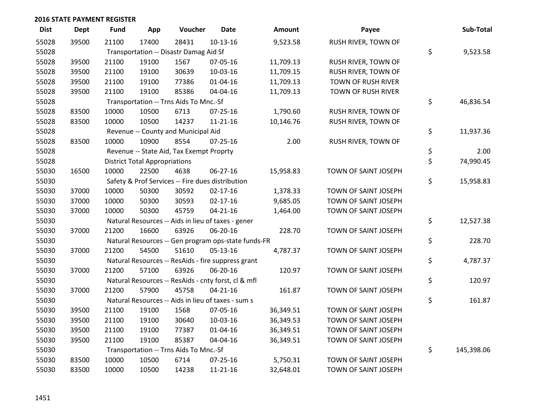| <b>Dist</b> | Dept  | <b>Fund</b> | App                                  | Voucher                                  | Date                                                | Amount    | Payee                | Sub-Total        |
|-------------|-------|-------------|--------------------------------------|------------------------------------------|-----------------------------------------------------|-----------|----------------------|------------------|
| 55028       | 39500 | 21100       | 17400                                | 28431                                    | $10-13-16$                                          | 9,523.58  | RUSH RIVER, TOWN OF  |                  |
| 55028       |       |             |                                      | Transportation -- Disastr Damag Aid Sf   |                                                     |           |                      | \$<br>9,523.58   |
| 55028       | 39500 | 21100       | 19100                                | 1567                                     | 07-05-16                                            | 11,709.13 | RUSH RIVER, TOWN OF  |                  |
| 55028       | 39500 | 21100       | 19100                                | 30639                                    | 10-03-16                                            | 11,709.15 | RUSH RIVER, TOWN OF  |                  |
| 55028       | 39500 | 21100       | 19100                                | 77386                                    | $01 - 04 - 16$                                      | 11,709.13 | TOWN OF RUSH RIVER   |                  |
| 55028       | 39500 | 21100       | 19100                                | 85386                                    | 04-04-16                                            | 11,709.13 | TOWN OF RUSH RIVER   |                  |
| 55028       |       |             |                                      | Transportation -- Trns Aids To Mnc.-Sf   |                                                     |           |                      | \$<br>46,836.54  |
| 55028       | 83500 | 10000       | 10500                                | 6713                                     | $07 - 25 - 16$                                      | 1,790.60  | RUSH RIVER, TOWN OF  |                  |
| 55028       | 83500 | 10000       | 10500                                | 14237                                    | $11 - 21 - 16$                                      | 10,146.76 | RUSH RIVER, TOWN OF  |                  |
| 55028       |       |             |                                      | Revenue -- County and Municipal Aid      |                                                     |           |                      | \$<br>11,937.36  |
| 55028       | 83500 | 10000       | 10900                                | 8554                                     | $07 - 25 - 16$                                      | 2.00      | RUSH RIVER, TOWN OF  |                  |
| 55028       |       |             |                                      | Revenue -- State Aid, Tax Exempt Proprty |                                                     |           |                      | \$<br>2.00       |
| 55028       |       |             | <b>District Total Appropriations</b> |                                          |                                                     |           |                      | \$<br>74,990.45  |
| 55030       | 16500 | 10000       | 22500                                | 4638                                     | 06-27-16                                            | 15,958.83 | TOWN OF SAINT JOSEPH |                  |
| 55030       |       |             |                                      |                                          | Safety & Prof Services -- Fire dues distribution    |           |                      | \$<br>15,958.83  |
| 55030       | 37000 | 10000       | 50300                                | 30592                                    | $02 - 17 - 16$                                      | 1,378.33  | TOWN OF SAINT JOSEPH |                  |
| 55030       | 37000 | 10000       | 50300                                | 30593                                    | $02 - 17 - 16$                                      | 9,685.05  | TOWN OF SAINT JOSEPH |                  |
| 55030       | 37000 | 10000       | 50300                                | 45759                                    | $04 - 21 - 16$                                      | 1,464.00  | TOWN OF SAINT JOSEPH |                  |
| 55030       |       |             |                                      |                                          | Natural Resources -- Aids in lieu of taxes - gener  |           |                      | \$<br>12,527.38  |
| 55030       | 37000 | 21200       | 16600                                | 63926                                    | 06-20-16                                            | 228.70    | TOWN OF SAINT JOSEPH |                  |
| 55030       |       |             |                                      |                                          | Natural Resources -- Gen program ops-state funds-FR |           |                      | \$<br>228.70     |
| 55030       | 37000 | 21200       | 54500                                | 51610                                    | 05-13-16                                            | 4,787.37  | TOWN OF SAINT JOSEPH |                  |
| 55030       |       |             |                                      |                                          | Natural Resources -- ResAids - fire suppress grant  |           |                      | \$<br>4,787.37   |
| 55030       | 37000 | 21200       | 57100                                | 63926                                    | 06-20-16                                            | 120.97    | TOWN OF SAINT JOSEPH |                  |
| 55030       |       |             |                                      |                                          | Natural Resources -- ResAids - cnty forst, cl & mfl |           |                      | \$<br>120.97     |
| 55030       | 37000 | 21200       | 57900                                | 45758                                    | $04 - 21 - 16$                                      | 161.87    | TOWN OF SAINT JOSEPH |                  |
| 55030       |       |             |                                      |                                          | Natural Resources -- Aids in lieu of taxes - sum s  |           |                      | \$<br>161.87     |
| 55030       | 39500 | 21100       | 19100                                | 1568                                     | 07-05-16                                            | 36,349.51 | TOWN OF SAINT JOSEPH |                  |
| 55030       | 39500 | 21100       | 19100                                | 30640                                    | 10-03-16                                            | 36,349.53 | TOWN OF SAINT JOSEPH |                  |
| 55030       | 39500 | 21100       | 19100                                | 77387                                    | 01-04-16                                            | 36,349.51 | TOWN OF SAINT JOSEPH |                  |
| 55030       | 39500 | 21100       | 19100                                | 85387                                    | 04-04-16                                            | 36,349.51 | TOWN OF SAINT JOSEPH |                  |
| 55030       |       |             |                                      | Transportation -- Trns Aids To Mnc.-Sf   |                                                     |           |                      | \$<br>145,398.06 |
| 55030       | 83500 | 10000       | 10500                                | 6714                                     | 07-25-16                                            | 5,750.31  | TOWN OF SAINT JOSEPH |                  |
| 55030       | 83500 | 10000       | 10500                                | 14238                                    | 11-21-16                                            | 32,648.01 | TOWN OF SAINT JOSEPH |                  |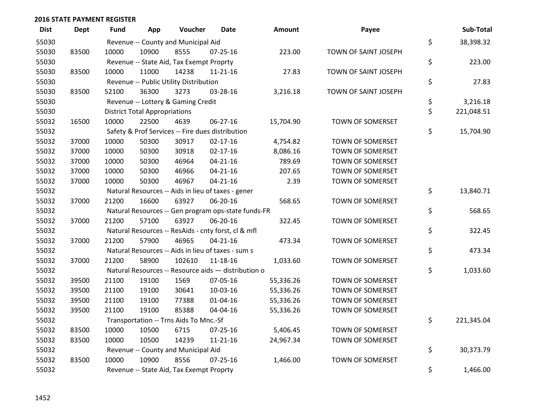| <b>Dist</b> | Dept  | <b>Fund</b> | App                                  | Voucher                                  | Date                                                | <b>Amount</b> | Payee                | Sub-Total        |
|-------------|-------|-------------|--------------------------------------|------------------------------------------|-----------------------------------------------------|---------------|----------------------|------------------|
| 55030       |       |             |                                      | Revenue -- County and Municipal Aid      |                                                     |               |                      | \$<br>38,398.32  |
| 55030       | 83500 | 10000       | 10900                                | 8555                                     | $07 - 25 - 16$                                      | 223.00        | TOWN OF SAINT JOSEPH |                  |
| 55030       |       |             |                                      | Revenue -- State Aid, Tax Exempt Proprty |                                                     |               |                      | \$<br>223.00     |
| 55030       | 83500 | 10000       | 11000                                | 14238                                    | 11-21-16                                            | 27.83         | TOWN OF SAINT JOSEPH |                  |
| 55030       |       |             |                                      | Revenue -- Public Utility Distribution   |                                                     |               |                      | \$<br>27.83      |
| 55030       | 83500 | 52100       | 36300                                | 3273                                     | 03-28-16                                            | 3,216.18      | TOWN OF SAINT JOSEPH |                  |
| 55030       |       |             |                                      | Revenue -- Lottery & Gaming Credit       |                                                     |               |                      | \$<br>3,216.18   |
| 55030       |       |             | <b>District Total Appropriations</b> |                                          |                                                     |               |                      | \$<br>221,048.51 |
| 55032       | 16500 | 10000       | 22500                                | 4639                                     | 06-27-16                                            | 15,704.90     | TOWN OF SOMERSET     |                  |
| 55032       |       |             |                                      |                                          | Safety & Prof Services -- Fire dues distribution    |               |                      | \$<br>15,704.90  |
| 55032       | 37000 | 10000       | 50300                                | 30917                                    | $02 - 17 - 16$                                      | 4,754.82      | TOWN OF SOMERSET     |                  |
| 55032       | 37000 | 10000       | 50300                                | 30918                                    | $02 - 17 - 16$                                      | 8,086.16      | TOWN OF SOMERSET     |                  |
| 55032       | 37000 | 10000       | 50300                                | 46964                                    | $04 - 21 - 16$                                      | 789.69        | TOWN OF SOMERSET     |                  |
| 55032       | 37000 | 10000       | 50300                                | 46966                                    | $04 - 21 - 16$                                      | 207.65        | TOWN OF SOMERSET     |                  |
| 55032       | 37000 | 10000       | 50300                                | 46967                                    | $04 - 21 - 16$                                      | 2.39          | TOWN OF SOMERSET     |                  |
| 55032       |       |             |                                      |                                          | Natural Resources -- Aids in lieu of taxes - gener  |               |                      | \$<br>13,840.71  |
| 55032       | 37000 | 21200       | 16600                                | 63927                                    | 06-20-16                                            | 568.65        | TOWN OF SOMERSET     |                  |
| 55032       |       |             |                                      |                                          | Natural Resources -- Gen program ops-state funds-FR |               |                      | \$<br>568.65     |
| 55032       | 37000 | 21200       | 57100                                | 63927                                    | 06-20-16                                            | 322.45        | TOWN OF SOMERSET     |                  |
| 55032       |       |             |                                      |                                          | Natural Resources -- ResAids - cnty forst, cl & mfl |               |                      | \$<br>322.45     |
| 55032       | 37000 | 21200       | 57900                                | 46965                                    | $04 - 21 - 16$                                      | 473.34        | TOWN OF SOMERSET     |                  |
| 55032       |       |             |                                      |                                          | Natural Resources -- Aids in lieu of taxes - sum s  |               |                      | \$<br>473.34     |
| 55032       | 37000 | 21200       | 58900                                | 102610                                   | $11 - 18 - 16$                                      | 1,033.60      | TOWN OF SOMERSET     |                  |
| 55032       |       |             |                                      |                                          | Natural Resources -- Resource aids - distribution o |               |                      | \$<br>1,033.60   |
| 55032       | 39500 | 21100       | 19100                                | 1569                                     | 07-05-16                                            | 55,336.26     | TOWN OF SOMERSET     |                  |
| 55032       | 39500 | 21100       | 19100                                | 30641                                    | 10-03-16                                            | 55,336.26     | TOWN OF SOMERSET     |                  |
| 55032       | 39500 | 21100       | 19100                                | 77388                                    | $01 - 04 - 16$                                      | 55,336.26     | TOWN OF SOMERSET     |                  |
| 55032       | 39500 | 21100       | 19100                                | 85388                                    | 04-04-16                                            | 55,336.26     | TOWN OF SOMERSET     |                  |
| 55032       |       |             |                                      | Transportation -- Trns Aids To Mnc.-Sf   |                                                     |               |                      | \$<br>221,345.04 |
| 55032       | 83500 | 10000       | 10500                                | 6715                                     | $07 - 25 - 16$                                      | 5,406.45      | TOWN OF SOMERSET     |                  |
| 55032       | 83500 | 10000       | 10500                                | 14239                                    | $11 - 21 - 16$                                      | 24,967.34     | TOWN OF SOMERSET     |                  |
| 55032       |       |             |                                      | Revenue -- County and Municipal Aid      |                                                     |               |                      | \$<br>30,373.79  |
| 55032       | 83500 | 10000       | 10900                                | 8556                                     | $07 - 25 - 16$                                      | 1,466.00      | TOWN OF SOMERSET     |                  |
| 55032       |       |             |                                      | Revenue -- State Aid, Tax Exempt Proprty |                                                     |               |                      | \$<br>1,466.00   |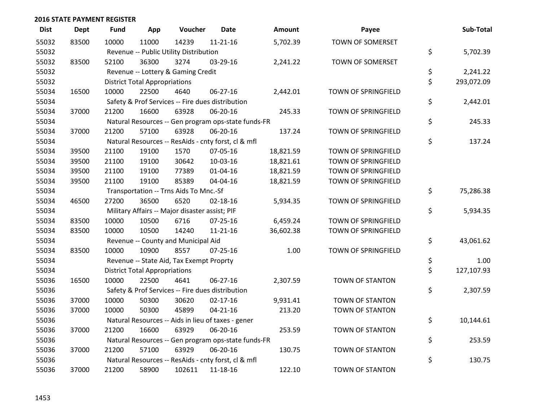| <b>Dist</b> | <b>Dept</b> | <b>Fund</b> | App                                  | Voucher                                        | <b>Date</b>                                         | <b>Amount</b> | Payee                  | Sub-Total        |
|-------------|-------------|-------------|--------------------------------------|------------------------------------------------|-----------------------------------------------------|---------------|------------------------|------------------|
| 55032       | 83500       | 10000       | 11000                                | 14239                                          | $11 - 21 - 16$                                      | 5,702.39      | TOWN OF SOMERSET       |                  |
| 55032       |             |             |                                      | Revenue -- Public Utility Distribution         |                                                     |               |                        | \$<br>5,702.39   |
| 55032       | 83500       | 52100       | 36300                                | 3274                                           | 03-29-16                                            | 2,241.22      | TOWN OF SOMERSET       |                  |
| 55032       |             |             |                                      | Revenue -- Lottery & Gaming Credit             |                                                     |               |                        | \$<br>2,241.22   |
| 55032       |             |             | <b>District Total Appropriations</b> |                                                |                                                     |               |                        | \$<br>293,072.09 |
| 55034       | 16500       | 10000       | 22500                                | 4640                                           | 06-27-16                                            | 2,442.01      | TOWN OF SPRINGFIELD    |                  |
| 55034       |             |             |                                      |                                                | Safety & Prof Services -- Fire dues distribution    |               |                        | \$<br>2,442.01   |
| 55034       | 37000       | 21200       | 16600                                | 63928                                          | 06-20-16                                            | 245.33        | TOWN OF SPRINGFIELD    |                  |
| 55034       |             |             |                                      |                                                | Natural Resources -- Gen program ops-state funds-FR |               |                        | \$<br>245.33     |
| 55034       | 37000       | 21200       | 57100                                | 63928                                          | 06-20-16                                            | 137.24        | TOWN OF SPRINGFIELD    |                  |
| 55034       |             |             |                                      |                                                | Natural Resources -- ResAids - cnty forst, cl & mfl |               |                        | \$<br>137.24     |
| 55034       | 39500       | 21100       | 19100                                | 1570                                           | 07-05-16                                            | 18,821.59     | TOWN OF SPRINGFIELD    |                  |
| 55034       | 39500       | 21100       | 19100                                | 30642                                          | 10-03-16                                            | 18,821.61     | TOWN OF SPRINGFIELD    |                  |
| 55034       | 39500       | 21100       | 19100                                | 77389                                          | $01 - 04 - 16$                                      | 18,821.59     | TOWN OF SPRINGFIELD    |                  |
| 55034       | 39500       | 21100       | 19100                                | 85389                                          | 04-04-16                                            | 18,821.59     | TOWN OF SPRINGFIELD    |                  |
| 55034       |             |             |                                      | Transportation -- Trns Aids To Mnc.-Sf         |                                                     |               |                        | \$<br>75,286.38  |
| 55034       | 46500       | 27200       | 36500                                | 6520                                           | $02 - 18 - 16$                                      | 5,934.35      | TOWN OF SPRINGFIELD    |                  |
| 55034       |             |             |                                      | Military Affairs -- Major disaster assist; PIF |                                                     |               |                        | \$<br>5,934.35   |
| 55034       | 83500       | 10000       | 10500                                | 6716                                           | 07-25-16                                            | 6,459.24      | TOWN OF SPRINGFIELD    |                  |
| 55034       | 83500       | 10000       | 10500                                | 14240                                          | $11 - 21 - 16$                                      | 36,602.38     | TOWN OF SPRINGFIELD    |                  |
| 55034       |             |             |                                      | Revenue -- County and Municipal Aid            |                                                     |               |                        | \$<br>43,061.62  |
| 55034       | 83500       | 10000       | 10900                                | 8557                                           | $07 - 25 - 16$                                      | 1.00          | TOWN OF SPRINGFIELD    |                  |
| 55034       |             |             |                                      | Revenue -- State Aid, Tax Exempt Proprty       |                                                     |               |                        | \$<br>1.00       |
| 55034       |             |             | <b>District Total Appropriations</b> |                                                |                                                     |               |                        | \$<br>127,107.93 |
| 55036       | 16500       | 10000       | 22500                                | 4641                                           | 06-27-16                                            | 2,307.59      | <b>TOWN OF STANTON</b> |                  |
| 55036       |             |             |                                      |                                                | Safety & Prof Services -- Fire dues distribution    |               |                        | \$<br>2,307.59   |
| 55036       | 37000       | 10000       | 50300                                | 30620                                          | $02 - 17 - 16$                                      | 9,931.41      | TOWN OF STANTON        |                  |
| 55036       | 37000       | 10000       | 50300                                | 45899                                          | $04 - 21 - 16$                                      | 213.20        | TOWN OF STANTON        |                  |
| 55036       |             |             |                                      |                                                | Natural Resources -- Aids in lieu of taxes - gener  |               |                        | \$<br>10,144.61  |
| 55036       | 37000       | 21200       | 16600                                | 63929                                          | 06-20-16                                            | 253.59        | TOWN OF STANTON        |                  |
| 55036       |             |             |                                      |                                                | Natural Resources -- Gen program ops-state funds-FR |               |                        | \$<br>253.59     |
| 55036       | 37000       | 21200       | 57100                                | 63929                                          | 06-20-16                                            | 130.75        | TOWN OF STANTON        |                  |
| 55036       |             |             |                                      |                                                | Natural Resources -- ResAids - cnty forst, cl & mfl |               |                        | \$<br>130.75     |
| 55036       | 37000       | 21200       | 58900                                | 102611                                         | 11-18-16                                            | 122.10        | <b>TOWN OF STANTON</b> |                  |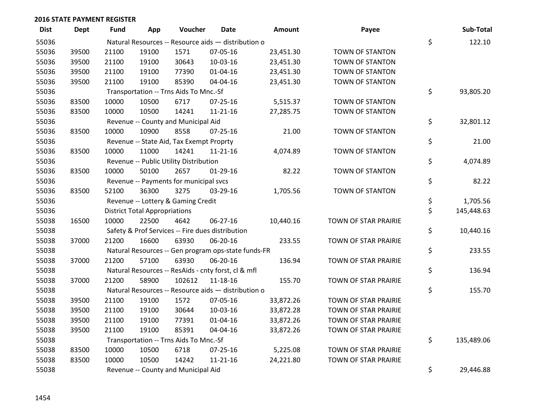| <b>Dist</b> | <b>Dept</b> | Fund  | App                                  | Voucher                                  | Date                                                | <b>Amount</b> | Payee                  | Sub-Total        |
|-------------|-------------|-------|--------------------------------------|------------------------------------------|-----------------------------------------------------|---------------|------------------------|------------------|
| 55036       |             |       |                                      |                                          | Natural Resources -- Resource aids - distribution o |               |                        | \$<br>122.10     |
| 55036       | 39500       | 21100 | 19100                                | 1571                                     | 07-05-16                                            | 23,451.30     | TOWN OF STANTON        |                  |
| 55036       | 39500       | 21100 | 19100                                | 30643                                    | 10-03-16                                            | 23,451.30     | TOWN OF STANTON        |                  |
| 55036       | 39500       | 21100 | 19100                                | 77390                                    | $01 - 04 - 16$                                      | 23,451.30     | <b>TOWN OF STANTON</b> |                  |
| 55036       | 39500       | 21100 | 19100                                | 85390                                    | 04-04-16                                            | 23,451.30     | <b>TOWN OF STANTON</b> |                  |
| 55036       |             |       |                                      | Transportation -- Trns Aids To Mnc.-Sf   |                                                     |               |                        | \$<br>93,805.20  |
| 55036       | 83500       | 10000 | 10500                                | 6717                                     | 07-25-16                                            | 5,515.37      | <b>TOWN OF STANTON</b> |                  |
| 55036       | 83500       | 10000 | 10500                                | 14241                                    | $11 - 21 - 16$                                      | 27,285.75     | <b>TOWN OF STANTON</b> |                  |
| 55036       |             |       |                                      | Revenue -- County and Municipal Aid      |                                                     |               |                        | \$<br>32,801.12  |
| 55036       | 83500       | 10000 | 10900                                | 8558                                     | 07-25-16                                            | 21.00         | TOWN OF STANTON        |                  |
| 55036       |             |       |                                      | Revenue -- State Aid, Tax Exempt Proprty |                                                     |               |                        | \$<br>21.00      |
| 55036       | 83500       | 10000 | 11000                                | 14241                                    | $11 - 21 - 16$                                      | 4,074.89      | <b>TOWN OF STANTON</b> |                  |
| 55036       |             |       |                                      | Revenue -- Public Utility Distribution   |                                                     |               |                        | \$<br>4,074.89   |
| 55036       | 83500       | 10000 | 50100                                | 2657                                     | $01-29-16$                                          | 82.22         | TOWN OF STANTON        |                  |
| 55036       |             |       |                                      | Revenue -- Payments for municipal svcs   |                                                     |               |                        | \$<br>82.22      |
| 55036       | 83500       | 52100 | 36300                                | 3275                                     | 03-29-16                                            | 1,705.56      | <b>TOWN OF STANTON</b> |                  |
| 55036       |             |       |                                      | Revenue -- Lottery & Gaming Credit       |                                                     |               |                        | \$<br>1,705.56   |
| 55036       |             |       | <b>District Total Appropriations</b> |                                          |                                                     |               |                        | \$<br>145,448.63 |
| 55038       | 16500       | 10000 | 22500                                | 4642                                     | 06-27-16                                            | 10,440.16     | TOWN OF STAR PRAIRIE   |                  |
| 55038       |             |       |                                      |                                          | Safety & Prof Services -- Fire dues distribution    |               |                        | \$<br>10,440.16  |
| 55038       | 37000       | 21200 | 16600                                | 63930                                    | 06-20-16                                            | 233.55        | TOWN OF STAR PRAIRIE   |                  |
| 55038       |             |       |                                      |                                          | Natural Resources -- Gen program ops-state funds-FR |               |                        | \$<br>233.55     |
| 55038       | 37000       | 21200 | 57100                                | 63930                                    | 06-20-16                                            | 136.94        | TOWN OF STAR PRAIRIE   |                  |
| 55038       |             |       |                                      |                                          | Natural Resources -- ResAids - cnty forst, cl & mfl |               |                        | \$<br>136.94     |
| 55038       | 37000       | 21200 | 58900                                | 102612                                   | 11-18-16                                            | 155.70        | TOWN OF STAR PRAIRIE   |                  |
| 55038       |             |       |                                      |                                          | Natural Resources -- Resource aids - distribution o |               |                        | \$<br>155.70     |
| 55038       | 39500       | 21100 | 19100                                | 1572                                     | 07-05-16                                            | 33,872.26     | TOWN OF STAR PRAIRIE   |                  |
| 55038       | 39500       | 21100 | 19100                                | 30644                                    | 10-03-16                                            | 33,872.28     | TOWN OF STAR PRAIRIE   |                  |
| 55038       | 39500       | 21100 | 19100                                | 77391                                    | $01 - 04 - 16$                                      | 33,872.26     | TOWN OF STAR PRAIRIE   |                  |
| 55038       | 39500       | 21100 | 19100                                | 85391                                    | 04-04-16                                            | 33,872.26     | TOWN OF STAR PRAIRIE   |                  |
| 55038       |             |       |                                      | Transportation -- Trns Aids To Mnc.-Sf   |                                                     |               |                        | \$<br>135,489.06 |
| 55038       | 83500       | 10000 | 10500                                | 6718                                     | $07 - 25 - 16$                                      | 5,225.08      | TOWN OF STAR PRAIRIE   |                  |
| 55038       | 83500       | 10000 | 10500                                | 14242                                    | $11 - 21 - 16$                                      | 24,221.80     | TOWN OF STAR PRAIRIE   |                  |
| 55038       |             |       |                                      | Revenue -- County and Municipal Aid      |                                                     |               |                        | \$<br>29,446.88  |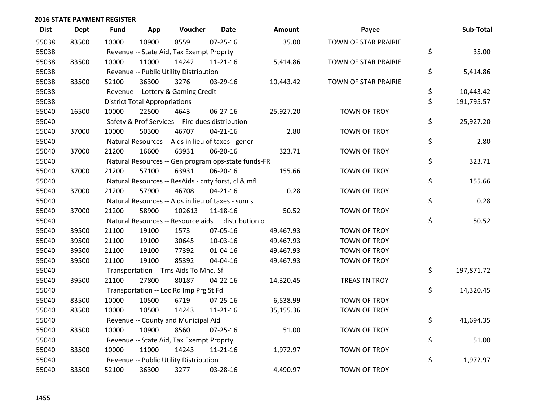| <b>Dist</b> | <b>Dept</b> | <b>Fund</b> | App                                  | Voucher                                             | <b>Date</b>    | Amount    | Payee                | Sub-Total        |
|-------------|-------------|-------------|--------------------------------------|-----------------------------------------------------|----------------|-----------|----------------------|------------------|
| 55038       | 83500       | 10000       | 10900                                | 8559                                                | $07 - 25 - 16$ | 35.00     | TOWN OF STAR PRAIRIE |                  |
| 55038       |             |             |                                      | Revenue -- State Aid, Tax Exempt Proprty            |                |           |                      | \$<br>35.00      |
| 55038       | 83500       | 10000       | 11000                                | 14242                                               | $11 - 21 - 16$ | 5,414.86  | TOWN OF STAR PRAIRIE |                  |
| 55038       |             |             |                                      | Revenue -- Public Utility Distribution              |                |           |                      | \$<br>5,414.86   |
| 55038       | 83500       | 52100       | 36300                                | 3276                                                | 03-29-16       | 10,443.42 | TOWN OF STAR PRAIRIE |                  |
| 55038       |             |             |                                      | Revenue -- Lottery & Gaming Credit                  |                |           |                      | \$<br>10,443.42  |
| 55038       |             |             | <b>District Total Appropriations</b> |                                                     |                |           |                      | \$<br>191,795.57 |
| 55040       | 16500       | 10000       | 22500                                | 4643                                                | 06-27-16       | 25,927.20 | TOWN OF TROY         |                  |
| 55040       |             |             |                                      | Safety & Prof Services -- Fire dues distribution    |                |           |                      | \$<br>25,927.20  |
| 55040       | 37000       | 10000       | 50300                                | 46707                                               | $04 - 21 - 16$ | 2.80      | TOWN OF TROY         |                  |
| 55040       |             |             |                                      | Natural Resources -- Aids in lieu of taxes - gener  |                |           |                      | \$<br>2.80       |
| 55040       | 37000       | 21200       | 16600                                | 63931                                               | 06-20-16       | 323.71    | TOWN OF TROY         |                  |
| 55040       |             |             |                                      | Natural Resources -- Gen program ops-state funds-FR |                |           |                      | \$<br>323.71     |
| 55040       | 37000       | 21200       | 57100                                | 63931                                               | 06-20-16       | 155.66    | TOWN OF TROY         |                  |
| 55040       |             |             |                                      | Natural Resources -- ResAids - cnty forst, cl & mfl |                |           |                      | \$<br>155.66     |
| 55040       | 37000       | 21200       | 57900                                | 46708                                               | $04 - 21 - 16$ | 0.28      | TOWN OF TROY         |                  |
| 55040       |             |             |                                      | Natural Resources -- Aids in lieu of taxes - sum s  |                |           |                      | \$<br>0.28       |
| 55040       | 37000       | 21200       | 58900                                | 102613                                              | 11-18-16       | 50.52     | TOWN OF TROY         |                  |
| 55040       |             |             |                                      | Natural Resources -- Resource aids - distribution o |                |           |                      | \$<br>50.52      |
| 55040       | 39500       | 21100       | 19100                                | 1573                                                | 07-05-16       | 49,467.93 | TOWN OF TROY         |                  |
| 55040       | 39500       | 21100       | 19100                                | 30645                                               | 10-03-16       | 49,467.93 | TOWN OF TROY         |                  |
| 55040       | 39500       | 21100       | 19100                                | 77392                                               | $01 - 04 - 16$ | 49,467.93 | TOWN OF TROY         |                  |
| 55040       | 39500       | 21100       | 19100                                | 85392                                               | 04-04-16       | 49,467.93 | TOWN OF TROY         |                  |
| 55040       |             |             |                                      | Transportation -- Trns Aids To Mnc.-Sf              |                |           |                      | \$<br>197,871.72 |
| 55040       | 39500       | 21100       | 27800                                | 80187                                               | $04 - 22 - 16$ | 14,320.45 | <b>TREAS TN TROY</b> |                  |
| 55040       |             |             |                                      | Transportation -- Loc Rd Imp Prg St Fd              |                |           |                      | \$<br>14,320.45  |
| 55040       | 83500       | 10000       | 10500                                | 6719                                                | $07 - 25 - 16$ | 6,538.99  | TOWN OF TROY         |                  |
| 55040       | 83500       | 10000       | 10500                                | 14243                                               | $11 - 21 - 16$ | 35,155.36 | TOWN OF TROY         |                  |
| 55040       |             |             |                                      | Revenue -- County and Municipal Aid                 |                |           |                      | \$<br>41,694.35  |
| 55040       | 83500       | 10000       | 10900                                | 8560                                                | $07 - 25 - 16$ | 51.00     | TOWN OF TROY         |                  |
| 55040       |             |             |                                      | Revenue -- State Aid, Tax Exempt Proprty            |                |           |                      | \$<br>51.00      |
| 55040       | 83500       | 10000       | 11000                                | 14243                                               | $11 - 21 - 16$ | 1,972.97  | TOWN OF TROY         |                  |
| 55040       |             |             |                                      | Revenue -- Public Utility Distribution              |                |           |                      | \$<br>1,972.97   |
| 55040       | 83500       | 52100       | 36300                                | 3277                                                | 03-28-16       | 4,490.97  | <b>TOWN OF TROY</b>  |                  |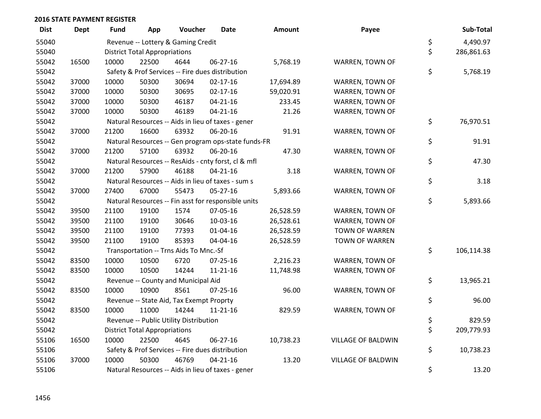| <b>Dist</b> | Dept  | Fund  | App                                  | Voucher                                  | Date                                                | Amount    | Payee                     | Sub-Total        |
|-------------|-------|-------|--------------------------------------|------------------------------------------|-----------------------------------------------------|-----------|---------------------------|------------------|
| 55040       |       |       |                                      | Revenue -- Lottery & Gaming Credit       |                                                     |           |                           | \$<br>4,490.97   |
| 55040       |       |       | <b>District Total Appropriations</b> |                                          |                                                     |           |                           | \$<br>286,861.63 |
| 55042       | 16500 | 10000 | 22500                                | 4644                                     | 06-27-16                                            | 5,768.19  | WARREN, TOWN OF           |                  |
| 55042       |       |       |                                      |                                          | Safety & Prof Services -- Fire dues distribution    |           |                           | \$<br>5,768.19   |
| 55042       | 37000 | 10000 | 50300                                | 30694                                    | $02 - 17 - 16$                                      | 17,694.89 | WARREN, TOWN OF           |                  |
| 55042       | 37000 | 10000 | 50300                                | 30695                                    | $02 - 17 - 16$                                      | 59,020.91 | WARREN, TOWN OF           |                  |
| 55042       | 37000 | 10000 | 50300                                | 46187                                    | $04 - 21 - 16$                                      | 233.45    | WARREN, TOWN OF           |                  |
| 55042       | 37000 | 10000 | 50300                                | 46189                                    | $04 - 21 - 16$                                      | 21.26     | WARREN, TOWN OF           |                  |
| 55042       |       |       |                                      |                                          | Natural Resources -- Aids in lieu of taxes - gener  |           |                           | \$<br>76,970.51  |
| 55042       | 37000 | 21200 | 16600                                | 63932                                    | 06-20-16                                            | 91.91     | WARREN, TOWN OF           |                  |
| 55042       |       |       |                                      |                                          | Natural Resources -- Gen program ops-state funds-FR |           |                           | \$<br>91.91      |
| 55042       | 37000 | 21200 | 57100                                | 63932                                    | 06-20-16                                            | 47.30     | WARREN, TOWN OF           |                  |
| 55042       |       |       |                                      |                                          | Natural Resources -- ResAids - cnty forst, cl & mfl |           |                           | \$<br>47.30      |
| 55042       | 37000 | 21200 | 57900                                | 46188                                    | $04 - 21 - 16$                                      | 3.18      | WARREN, TOWN OF           |                  |
| 55042       |       |       |                                      |                                          | Natural Resources -- Aids in lieu of taxes - sum s  |           |                           | \$<br>3.18       |
| 55042       | 37000 | 27400 | 67000                                | 55473                                    | 05-27-16                                            | 5,893.66  | WARREN, TOWN OF           |                  |
| 55042       |       |       |                                      |                                          | Natural Resources -- Fin asst for responsible units |           |                           | \$<br>5,893.66   |
| 55042       | 39500 | 21100 | 19100                                | 1574                                     | 07-05-16                                            | 26,528.59 | WARREN, TOWN OF           |                  |
| 55042       | 39500 | 21100 | 19100                                | 30646                                    | 10-03-16                                            | 26,528.61 | WARREN, TOWN OF           |                  |
| 55042       | 39500 | 21100 | 19100                                | 77393                                    | 01-04-16                                            | 26,528.59 | TOWN OF WARREN            |                  |
| 55042       | 39500 | 21100 | 19100                                | 85393                                    | 04-04-16                                            | 26,528.59 | <b>TOWN OF WARREN</b>     |                  |
| 55042       |       |       |                                      | Transportation -- Trns Aids To Mnc.-Sf   |                                                     |           |                           | \$<br>106,114.38 |
| 55042       | 83500 | 10000 | 10500                                | 6720                                     | 07-25-16                                            | 2,216.23  | WARREN, TOWN OF           |                  |
| 55042       | 83500 | 10000 | 10500                                | 14244                                    | 11-21-16                                            | 11,748.98 | WARREN, TOWN OF           |                  |
| 55042       |       |       |                                      | Revenue -- County and Municipal Aid      |                                                     |           |                           | \$<br>13,965.21  |
| 55042       | 83500 | 10000 | 10900                                | 8561                                     | $07 - 25 - 16$                                      | 96.00     | WARREN, TOWN OF           |                  |
| 55042       |       |       |                                      | Revenue -- State Aid, Tax Exempt Proprty |                                                     |           |                           | \$<br>96.00      |
| 55042       | 83500 | 10000 | 11000                                | 14244                                    | $11 - 21 - 16$                                      | 829.59    | WARREN, TOWN OF           |                  |
| 55042       |       |       |                                      | Revenue -- Public Utility Distribution   |                                                     |           |                           | \$<br>829.59     |
| 55042       |       |       | <b>District Total Appropriations</b> |                                          |                                                     |           |                           | \$<br>209,779.93 |
| 55106       | 16500 | 10000 | 22500                                | 4645                                     | 06-27-16                                            | 10,738.23 | <b>VILLAGE OF BALDWIN</b> |                  |
| 55106       |       |       |                                      |                                          | Safety & Prof Services -- Fire dues distribution    |           |                           | \$<br>10,738.23  |
| 55106       | 37000 | 10000 | 50300                                | 46769                                    | $04 - 21 - 16$                                      | 13.20     | VILLAGE OF BALDWIN        |                  |
| 55106       |       |       |                                      |                                          | Natural Resources -- Aids in lieu of taxes - gener  |           |                           | \$<br>13.20      |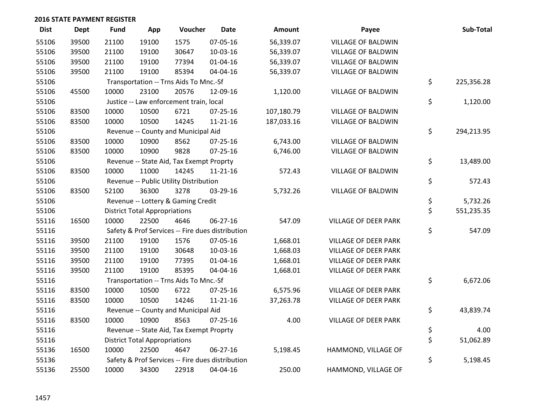| <b>Dist</b> | <b>Dept</b> | <b>Fund</b> | App                                  | Voucher                                  | <b>Date</b>                                      | <b>Amount</b> | Payee                       | Sub-Total        |
|-------------|-------------|-------------|--------------------------------------|------------------------------------------|--------------------------------------------------|---------------|-----------------------------|------------------|
| 55106       | 39500       | 21100       | 19100                                | 1575                                     | 07-05-16                                         | 56,339.07     | <b>VILLAGE OF BALDWIN</b>   |                  |
| 55106       | 39500       | 21100       | 19100                                | 30647                                    | 10-03-16                                         | 56,339.07     | <b>VILLAGE OF BALDWIN</b>   |                  |
| 55106       | 39500       | 21100       | 19100                                | 77394                                    | $01 - 04 - 16$                                   | 56,339.07     | VILLAGE OF BALDWIN          |                  |
| 55106       | 39500       | 21100       | 19100                                | 85394                                    | 04-04-16                                         | 56,339.07     | VILLAGE OF BALDWIN          |                  |
| 55106       |             |             |                                      | Transportation -- Trns Aids To Mnc.-Sf   |                                                  |               |                             | \$<br>225,356.28 |
| 55106       | 45500       | 10000       | 23100                                | 20576                                    | 12-09-16                                         | 1,120.00      | VILLAGE OF BALDWIN          |                  |
| 55106       |             |             |                                      | Justice -- Law enforcement train, local  |                                                  |               |                             | \$<br>1,120.00   |
| 55106       | 83500       | 10000       | 10500                                | 6721                                     | $07 - 25 - 16$                                   | 107,180.79    | <b>VILLAGE OF BALDWIN</b>   |                  |
| 55106       | 83500       | 10000       | 10500                                | 14245                                    | $11 - 21 - 16$                                   | 187,033.16    | VILLAGE OF BALDWIN          |                  |
| 55106       |             |             |                                      | Revenue -- County and Municipal Aid      |                                                  |               |                             | \$<br>294,213.95 |
| 55106       | 83500       | 10000       | 10900                                | 8562                                     | 07-25-16                                         | 6,743.00      | VILLAGE OF BALDWIN          |                  |
| 55106       | 83500       | 10000       | 10900                                | 9828                                     | $07 - 25 - 16$                                   | 6,746.00      | <b>VILLAGE OF BALDWIN</b>   |                  |
| 55106       |             |             |                                      | Revenue -- State Aid, Tax Exempt Proprty |                                                  |               |                             | \$<br>13,489.00  |
| 55106       | 83500       | 10000       | 11000                                | 14245                                    | $11 - 21 - 16$                                   | 572.43        | VILLAGE OF BALDWIN          |                  |
| 55106       |             |             |                                      | Revenue -- Public Utility Distribution   |                                                  |               |                             | \$<br>572.43     |
| 55106       | 83500       | 52100       | 36300                                | 3278                                     | 03-29-16                                         | 5,732.26      | VILLAGE OF BALDWIN          |                  |
| 55106       |             |             |                                      | Revenue -- Lottery & Gaming Credit       |                                                  |               |                             | \$<br>5,732.26   |
| 55106       |             |             | <b>District Total Appropriations</b> |                                          |                                                  |               |                             | \$<br>551,235.35 |
| 55116       | 16500       | 10000       | 22500                                | 4646                                     | $06 - 27 - 16$                                   | 547.09        | VILLAGE OF DEER PARK        |                  |
| 55116       |             |             |                                      |                                          | Safety & Prof Services -- Fire dues distribution |               |                             | \$<br>547.09     |
| 55116       | 39500       | 21100       | 19100                                | 1576                                     | 07-05-16                                         | 1,668.01      | <b>VILLAGE OF DEER PARK</b> |                  |
| 55116       | 39500       | 21100       | 19100                                | 30648                                    | 10-03-16                                         | 1,668.03      | <b>VILLAGE OF DEER PARK</b> |                  |
| 55116       | 39500       | 21100       | 19100                                | 77395                                    | $01 - 04 - 16$                                   | 1,668.01      | <b>VILLAGE OF DEER PARK</b> |                  |
| 55116       | 39500       | 21100       | 19100                                | 85395                                    | 04-04-16                                         | 1,668.01      | VILLAGE OF DEER PARK        |                  |
| 55116       |             |             |                                      | Transportation -- Trns Aids To Mnc.-Sf   |                                                  |               |                             | \$<br>6,672.06   |
| 55116       | 83500       | 10000       | 10500                                | 6722                                     | 07-25-16                                         | 6,575.96      | <b>VILLAGE OF DEER PARK</b> |                  |
| 55116       | 83500       | 10000       | 10500                                | 14246                                    | $11 - 21 - 16$                                   | 37,263.78     | VILLAGE OF DEER PARK        |                  |
| 55116       |             |             |                                      | Revenue -- County and Municipal Aid      |                                                  |               |                             | \$<br>43,839.74  |
| 55116       | 83500       | 10000       | 10900                                | 8563                                     | $07 - 25 - 16$                                   | 4.00          | <b>VILLAGE OF DEER PARK</b> |                  |
| 55116       |             |             |                                      | Revenue -- State Aid, Tax Exempt Proprty |                                                  |               |                             | \$<br>4.00       |
| 55116       |             |             | <b>District Total Appropriations</b> |                                          |                                                  |               |                             | \$<br>51,062.89  |
| 55136       | 16500       | 10000       | 22500                                | 4647                                     | 06-27-16                                         | 5,198.45      | HAMMOND, VILLAGE OF         |                  |
| 55136       |             |             |                                      |                                          | Safety & Prof Services -- Fire dues distribution |               |                             | \$<br>5,198.45   |
| 55136       | 25500       | 10000       | 34300                                | 22918                                    | 04-04-16                                         | 250.00        | HAMMOND, VILLAGE OF         |                  |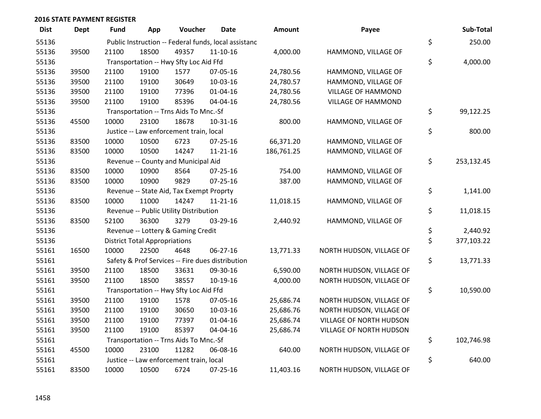| <b>Dist</b> | <b>Dept</b> | <b>Fund</b> | App                                  | Voucher                                  | <b>Date</b>                                          | <b>Amount</b> | Payee                    | Sub-Total        |
|-------------|-------------|-------------|--------------------------------------|------------------------------------------|------------------------------------------------------|---------------|--------------------------|------------------|
| 55136       |             |             |                                      |                                          | Public Instruction -- Federal funds, local assistanc |               |                          | \$<br>250.00     |
| 55136       | 39500       | 21100       | 18500                                | 49357                                    | $11 - 10 - 16$                                       | 4,000.00      | HAMMOND, VILLAGE OF      |                  |
| 55136       |             |             |                                      | Transportation -- Hwy Sfty Loc Aid Ffd   |                                                      |               |                          | \$<br>4,000.00   |
| 55136       | 39500       | 21100       | 19100                                | 1577                                     | 07-05-16                                             | 24,780.56     | HAMMOND, VILLAGE OF      |                  |
| 55136       | 39500       | 21100       | 19100                                | 30649                                    | 10-03-16                                             | 24,780.57     | HAMMOND, VILLAGE OF      |                  |
| 55136       | 39500       | 21100       | 19100                                | 77396                                    | $01 - 04 - 16$                                       | 24,780.56     | VILLAGE OF HAMMOND       |                  |
| 55136       | 39500       | 21100       | 19100                                | 85396                                    | 04-04-16                                             | 24,780.56     | VILLAGE OF HAMMOND       |                  |
| 55136       |             |             |                                      | Transportation -- Trns Aids To Mnc.-Sf   |                                                      |               |                          | \$<br>99,122.25  |
| 55136       | 45500       | 10000       | 23100                                | 18678                                    | $10-31-16$                                           | 800.00        | HAMMOND, VILLAGE OF      |                  |
| 55136       |             |             |                                      | Justice -- Law enforcement train, local  |                                                      |               |                          | \$<br>800.00     |
| 55136       | 83500       | 10000       | 10500                                | 6723                                     | 07-25-16                                             | 66,371.20     | HAMMOND, VILLAGE OF      |                  |
| 55136       | 83500       | 10000       | 10500                                | 14247                                    | $11 - 21 - 16$                                       | 186,761.25    | HAMMOND, VILLAGE OF      |                  |
| 55136       |             |             |                                      | Revenue -- County and Municipal Aid      |                                                      |               |                          | \$<br>253,132.45 |
| 55136       | 83500       | 10000       | 10900                                | 8564                                     | $07 - 25 - 16$                                       | 754.00        | HAMMOND, VILLAGE OF      |                  |
| 55136       | 83500       | 10000       | 10900                                | 9829                                     | $07 - 25 - 16$                                       | 387.00        | HAMMOND, VILLAGE OF      |                  |
| 55136       |             |             |                                      | Revenue -- State Aid, Tax Exempt Proprty |                                                      |               |                          | \$<br>1,141.00   |
| 55136       | 83500       | 10000       | 11000                                | 14247                                    | $11 - 21 - 16$                                       | 11,018.15     | HAMMOND, VILLAGE OF      |                  |
| 55136       |             |             |                                      | Revenue -- Public Utility Distribution   |                                                      |               |                          | \$<br>11,018.15  |
| 55136       | 83500       | 52100       | 36300                                | 3279                                     | 03-29-16                                             | 2,440.92      | HAMMOND, VILLAGE OF      |                  |
| 55136       |             |             |                                      | Revenue -- Lottery & Gaming Credit       |                                                      |               |                          | \$<br>2,440.92   |
| 55136       |             |             | <b>District Total Appropriations</b> |                                          |                                                      |               |                          | \$<br>377,103.22 |
| 55161       | 16500       | 10000       | 22500                                | 4648                                     | 06-27-16                                             | 13,771.33     | NORTH HUDSON, VILLAGE OF |                  |
| 55161       |             |             |                                      |                                          | Safety & Prof Services -- Fire dues distribution     |               |                          | \$<br>13,771.33  |
| 55161       | 39500       | 21100       | 18500                                | 33631                                    | 09-30-16                                             | 6,590.00      | NORTH HUDSON, VILLAGE OF |                  |
| 55161       | 39500       | 21100       | 18500                                | 38557                                    | 10-19-16                                             | 4,000.00      | NORTH HUDSON, VILLAGE OF |                  |
| 55161       |             |             |                                      | Transportation -- Hwy Sfty Loc Aid Ffd   |                                                      |               |                          | \$<br>10,590.00  |
| 55161       | 39500       | 21100       | 19100                                | 1578                                     | 07-05-16                                             | 25,686.74     | NORTH HUDSON, VILLAGE OF |                  |
| 55161       | 39500       | 21100       | 19100                                | 30650                                    | 10-03-16                                             | 25,686.76     | NORTH HUDSON, VILLAGE OF |                  |
| 55161       | 39500       | 21100       | 19100                                | 77397                                    | $01 - 04 - 16$                                       | 25,686.74     | VILLAGE OF NORTH HUDSON  |                  |
| 55161       | 39500       | 21100       | 19100                                | 85397                                    | 04-04-16                                             | 25,686.74     | VILLAGE OF NORTH HUDSON  |                  |
| 55161       |             |             |                                      | Transportation -- Trns Aids To Mnc.-Sf   |                                                      |               |                          | \$<br>102,746.98 |
| 55161       | 45500       | 10000       | 23100                                | 11282                                    | 06-08-16                                             | 640.00        | NORTH HUDSON, VILLAGE OF |                  |
| 55161       |             |             |                                      | Justice -- Law enforcement train, local  |                                                      |               |                          | \$<br>640.00     |
| 55161       | 83500       | 10000       | 10500                                | 6724                                     | 07-25-16                                             | 11,403.16     | NORTH HUDSON, VILLAGE OF |                  |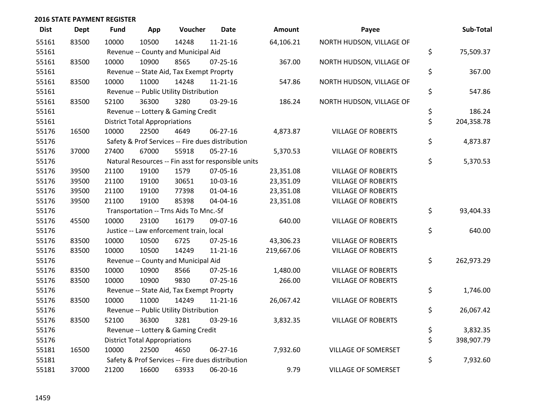| <b>Dist</b> | <b>Dept</b> | <b>Fund</b> | App                                  | Voucher                                  | <b>Date</b>                                         | Amount     | Payee                     | Sub-Total        |
|-------------|-------------|-------------|--------------------------------------|------------------------------------------|-----------------------------------------------------|------------|---------------------------|------------------|
| 55161       | 83500       | 10000       | 10500                                | 14248                                    | $11 - 21 - 16$                                      | 64,106.21  | NORTH HUDSON, VILLAGE OF  |                  |
| 55161       |             |             |                                      | Revenue -- County and Municipal Aid      |                                                     |            |                           | \$<br>75,509.37  |
| 55161       | 83500       | 10000       | 10900                                | 8565                                     | $07 - 25 - 16$                                      | 367.00     | NORTH HUDSON, VILLAGE OF  |                  |
| 55161       |             |             |                                      | Revenue -- State Aid, Tax Exempt Proprty |                                                     |            |                           | \$<br>367.00     |
| 55161       | 83500       | 10000       | 11000                                | 14248                                    | $11 - 21 - 16$                                      | 547.86     | NORTH HUDSON, VILLAGE OF  |                  |
| 55161       |             |             |                                      | Revenue -- Public Utility Distribution   |                                                     |            |                           | \$<br>547.86     |
| 55161       | 83500       | 52100       | 36300                                | 3280                                     | 03-29-16                                            | 186.24     | NORTH HUDSON, VILLAGE OF  |                  |
| 55161       |             |             |                                      | Revenue -- Lottery & Gaming Credit       |                                                     |            |                           | \$<br>186.24     |
| 55161       |             |             | <b>District Total Appropriations</b> |                                          |                                                     |            |                           | \$<br>204,358.78 |
| 55176       | 16500       | 10000       | 22500                                | 4649                                     | 06-27-16                                            | 4,873.87   | <b>VILLAGE OF ROBERTS</b> |                  |
| 55176       |             |             |                                      |                                          | Safety & Prof Services -- Fire dues distribution    |            |                           | \$<br>4,873.87   |
| 55176       | 37000       | 27400       | 67000                                | 55918                                    | 05-27-16                                            | 5,370.53   | <b>VILLAGE OF ROBERTS</b> |                  |
| 55176       |             |             |                                      |                                          | Natural Resources -- Fin asst for responsible units |            |                           | \$<br>5,370.53   |
| 55176       | 39500       | 21100       | 19100                                | 1579                                     | 07-05-16                                            | 23,351.08  | <b>VILLAGE OF ROBERTS</b> |                  |
| 55176       | 39500       | 21100       | 19100                                | 30651                                    | 10-03-16                                            | 23,351.09  | <b>VILLAGE OF ROBERTS</b> |                  |
| 55176       | 39500       | 21100       | 19100                                | 77398                                    | $01 - 04 - 16$                                      | 23,351.08  | <b>VILLAGE OF ROBERTS</b> |                  |
| 55176       | 39500       | 21100       | 19100                                | 85398                                    | 04-04-16                                            | 23,351.08  | <b>VILLAGE OF ROBERTS</b> |                  |
| 55176       |             |             |                                      | Transportation -- Trns Aids To Mnc.-Sf   |                                                     |            |                           | \$<br>93,404.33  |
| 55176       | 45500       | 10000       | 23100                                | 16179                                    | 09-07-16                                            | 640.00     | <b>VILLAGE OF ROBERTS</b> |                  |
| 55176       |             |             |                                      | Justice -- Law enforcement train, local  |                                                     |            |                           | \$<br>640.00     |
| 55176       | 83500       | 10000       | 10500                                | 6725                                     | 07-25-16                                            | 43,306.23  | <b>VILLAGE OF ROBERTS</b> |                  |
| 55176       | 83500       | 10000       | 10500                                | 14249                                    | $11 - 21 - 16$                                      | 219,667.06 | <b>VILLAGE OF ROBERTS</b> |                  |
| 55176       |             |             |                                      | Revenue -- County and Municipal Aid      |                                                     |            |                           | \$<br>262,973.29 |
| 55176       | 83500       | 10000       | 10900                                | 8566                                     | 07-25-16                                            | 1,480.00   | <b>VILLAGE OF ROBERTS</b> |                  |
| 55176       | 83500       | 10000       | 10900                                | 9830                                     | $07 - 25 - 16$                                      | 266.00     | <b>VILLAGE OF ROBERTS</b> |                  |
| 55176       |             |             |                                      | Revenue -- State Aid, Tax Exempt Proprty |                                                     |            |                           | \$<br>1,746.00   |
| 55176       | 83500       | 10000       | 11000                                | 14249                                    | $11 - 21 - 16$                                      | 26,067.42  | <b>VILLAGE OF ROBERTS</b> |                  |
| 55176       |             |             |                                      | Revenue -- Public Utility Distribution   |                                                     |            |                           | \$<br>26,067.42  |
| 55176       | 83500       | 52100       | 36300                                | 3281                                     | 03-29-16                                            | 3,832.35   | <b>VILLAGE OF ROBERTS</b> |                  |
| 55176       |             |             |                                      | Revenue -- Lottery & Gaming Credit       |                                                     |            |                           | \$<br>3,832.35   |
| 55176       |             |             | <b>District Total Appropriations</b> |                                          |                                                     |            |                           | \$<br>398,907.79 |
| 55181       | 16500       | 10000       | 22500                                | 4650                                     | 06-27-16                                            | 7,932.60   | VILLAGE OF SOMERSET       |                  |
| 55181       |             |             |                                      |                                          | Safety & Prof Services -- Fire dues distribution    |            |                           | \$<br>7,932.60   |
| 55181       | 37000       | 21200       | 16600                                | 63933                                    | 06-20-16                                            | 9.79       | VILLAGE OF SOMERSET       |                  |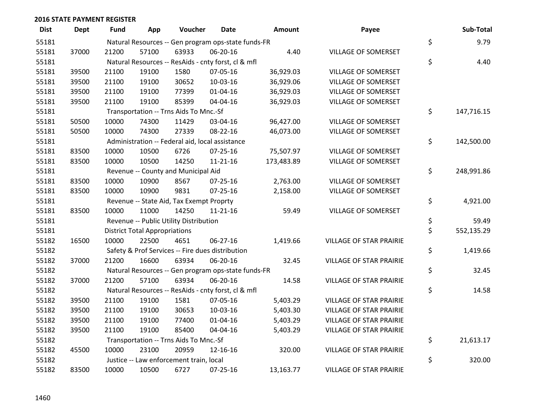| <b>Dist</b> | <b>Dept</b> | Fund  | App                                  | Voucher                                             | Date           | <b>Amount</b> | Payee                          | Sub-Total        |
|-------------|-------------|-------|--------------------------------------|-----------------------------------------------------|----------------|---------------|--------------------------------|------------------|
| 55181       |             |       |                                      | Natural Resources -- Gen program ops-state funds-FR |                |               |                                | \$<br>9.79       |
| 55181       | 37000       | 21200 | 57100                                | 63933                                               | 06-20-16       | 4.40          | VILLAGE OF SOMERSET            |                  |
| 55181       |             |       |                                      | Natural Resources -- ResAids - cnty forst, cl & mfl |                |               |                                | \$<br>4.40       |
| 55181       | 39500       | 21100 | 19100                                | 1580                                                | 07-05-16       | 36,929.03     | VILLAGE OF SOMERSET            |                  |
| 55181       | 39500       | 21100 | 19100                                | 30652                                               | 10-03-16       | 36,929.06     | VILLAGE OF SOMERSET            |                  |
| 55181       | 39500       | 21100 | 19100                                | 77399                                               | 01-04-16       | 36,929.03     | <b>VILLAGE OF SOMERSET</b>     |                  |
| 55181       | 39500       | 21100 | 19100                                | 85399                                               | 04-04-16       | 36,929.03     | VILLAGE OF SOMERSET            |                  |
| 55181       |             |       |                                      | Transportation -- Trns Aids To Mnc.-Sf              |                |               |                                | \$<br>147,716.15 |
| 55181       | 50500       | 10000 | 74300                                | 11429                                               | 03-04-16       | 96,427.00     | VILLAGE OF SOMERSET            |                  |
| 55181       | 50500       | 10000 | 74300                                | 27339                                               | 08-22-16       | 46,073.00     | VILLAGE OF SOMERSET            |                  |
| 55181       |             |       |                                      | Administration -- Federal aid, local assistance     |                |               |                                | \$<br>142,500.00 |
| 55181       | 83500       | 10000 | 10500                                | 6726                                                | $07 - 25 - 16$ | 75,507.97     | VILLAGE OF SOMERSET            |                  |
| 55181       | 83500       | 10000 | 10500                                | 14250                                               | $11 - 21 - 16$ | 173,483.89    | VILLAGE OF SOMERSET            |                  |
| 55181       |             |       |                                      | Revenue -- County and Municipal Aid                 |                |               |                                | \$<br>248,991.86 |
| 55181       | 83500       | 10000 | 10900                                | 8567                                                | $07 - 25 - 16$ | 2,763.00      | <b>VILLAGE OF SOMERSET</b>     |                  |
| 55181       | 83500       | 10000 | 10900                                | 9831                                                | $07 - 25 - 16$ | 2,158.00      | VILLAGE OF SOMERSET            |                  |
| 55181       |             |       |                                      | Revenue -- State Aid, Tax Exempt Proprty            |                |               |                                | \$<br>4,921.00   |
| 55181       | 83500       | 10000 | 11000                                | 14250                                               | $11 - 21 - 16$ | 59.49         | VILLAGE OF SOMERSET            |                  |
| 55181       |             |       |                                      | Revenue -- Public Utility Distribution              |                |               |                                | \$<br>59.49      |
| 55181       |             |       | <b>District Total Appropriations</b> |                                                     |                |               |                                | \$<br>552,135.29 |
| 55182       | 16500       | 10000 | 22500                                | 4651                                                | 06-27-16       | 1,419.66      | <b>VILLAGE OF STAR PRAIRIE</b> |                  |
| 55182       |             |       |                                      | Safety & Prof Services -- Fire dues distribution    |                |               |                                | \$<br>1,419.66   |
| 55182       | 37000       | 21200 | 16600                                | 63934                                               | 06-20-16       | 32.45         | <b>VILLAGE OF STAR PRAIRIE</b> |                  |
| 55182       |             |       |                                      | Natural Resources -- Gen program ops-state funds-FR |                |               |                                | \$<br>32.45      |
| 55182       | 37000       | 21200 | 57100                                | 63934                                               | 06-20-16       | 14.58         | <b>VILLAGE OF STAR PRAIRIE</b> |                  |
| 55182       |             |       |                                      | Natural Resources -- ResAids - cnty forst, cl & mfl |                |               |                                | \$<br>14.58      |
| 55182       | 39500       | 21100 | 19100                                | 1581                                                | 07-05-16       | 5,403.29      | <b>VILLAGE OF STAR PRAIRIE</b> |                  |
| 55182       | 39500       | 21100 | 19100                                | 30653                                               | 10-03-16       | 5,403.30      | <b>VILLAGE OF STAR PRAIRIE</b> |                  |
| 55182       | 39500       | 21100 | 19100                                | 77400                                               | 01-04-16       | 5,403.29      | <b>VILLAGE OF STAR PRAIRIE</b> |                  |
| 55182       | 39500       | 21100 | 19100                                | 85400                                               | 04-04-16       | 5,403.29      | <b>VILLAGE OF STAR PRAIRIE</b> |                  |
| 55182       |             |       |                                      | Transportation -- Trns Aids To Mnc.-Sf              |                |               |                                | \$<br>21,613.17  |
| 55182       | 45500       | 10000 | 23100                                | 20959                                               | 12-16-16       | 320.00        | <b>VILLAGE OF STAR PRAIRIE</b> |                  |
| 55182       |             |       |                                      | Justice -- Law enforcement train, local             |                |               |                                | \$<br>320.00     |
| 55182       | 83500       | 10000 | 10500                                | 6727                                                | 07-25-16       | 13,163.77     | <b>VILLAGE OF STAR PRAIRIE</b> |                  |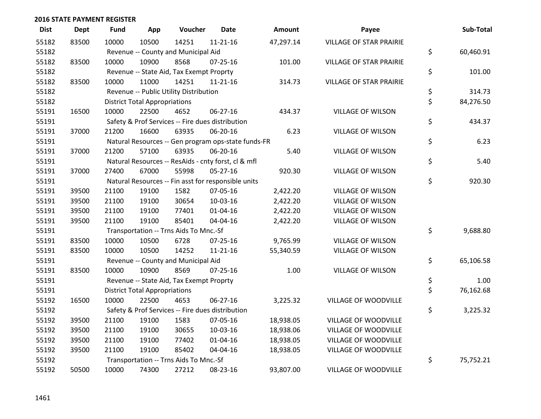| <b>Dist</b> | <b>Dept</b> | <b>Fund</b> | App                                  | Voucher                                             | <b>Date</b>    | Amount    | Payee                          | Sub-Total       |
|-------------|-------------|-------------|--------------------------------------|-----------------------------------------------------|----------------|-----------|--------------------------------|-----------------|
| 55182       | 83500       | 10000       | 10500                                | 14251                                               | $11 - 21 - 16$ | 47,297.14 | <b>VILLAGE OF STAR PRAIRIE</b> |                 |
| 55182       |             |             |                                      | Revenue -- County and Municipal Aid                 |                |           |                                | \$<br>60,460.91 |
| 55182       | 83500       | 10000       | 10900                                | 8568                                                | $07 - 25 - 16$ | 101.00    | <b>VILLAGE OF STAR PRAIRIE</b> |                 |
| 55182       |             |             |                                      | Revenue -- State Aid, Tax Exempt Proprty            |                |           |                                | \$<br>101.00    |
| 55182       | 83500       | 10000       | 11000                                | 14251                                               | $11 - 21 - 16$ | 314.73    | <b>VILLAGE OF STAR PRAIRIE</b> |                 |
| 55182       |             |             |                                      | Revenue -- Public Utility Distribution              |                |           |                                | \$<br>314.73    |
| 55182       |             |             | <b>District Total Appropriations</b> |                                                     |                |           |                                | \$<br>84,276.50 |
| 55191       | 16500       | 10000       | 22500                                | 4652                                                | 06-27-16       | 434.37    | <b>VILLAGE OF WILSON</b>       |                 |
| 55191       |             |             |                                      | Safety & Prof Services -- Fire dues distribution    |                |           |                                | \$<br>434.37    |
| 55191       | 37000       | 21200       | 16600                                | 63935                                               | 06-20-16       | 6.23      | <b>VILLAGE OF WILSON</b>       |                 |
| 55191       |             |             |                                      | Natural Resources -- Gen program ops-state funds-FR |                |           |                                | \$<br>6.23      |
| 55191       | 37000       | 21200       | 57100                                | 63935                                               | 06-20-16       | 5.40      | <b>VILLAGE OF WILSON</b>       |                 |
| 55191       |             |             |                                      | Natural Resources -- ResAids - cnty forst, cl & mfl |                |           |                                | \$<br>5.40      |
| 55191       | 37000       | 27400       | 67000                                | 55998                                               | $05 - 27 - 16$ | 920.30    | <b>VILLAGE OF WILSON</b>       |                 |
| 55191       |             |             |                                      | Natural Resources -- Fin asst for responsible units |                |           |                                | \$<br>920.30    |
| 55191       | 39500       | 21100       | 19100                                | 1582                                                | 07-05-16       | 2,422.20  | <b>VILLAGE OF WILSON</b>       |                 |
| 55191       | 39500       | 21100       | 19100                                | 30654                                               | 10-03-16       | 2,422.20  | <b>VILLAGE OF WILSON</b>       |                 |
| 55191       | 39500       | 21100       | 19100                                | 77401                                               | $01 - 04 - 16$ | 2,422.20  | <b>VILLAGE OF WILSON</b>       |                 |
| 55191       | 39500       | 21100       | 19100                                | 85401                                               | 04-04-16       | 2,422.20  | <b>VILLAGE OF WILSON</b>       |                 |
| 55191       |             |             |                                      | Transportation -- Trns Aids To Mnc.-Sf              |                |           |                                | \$<br>9,688.80  |
| 55191       | 83500       | 10000       | 10500                                | 6728                                                | $07 - 25 - 16$ | 9,765.99  | <b>VILLAGE OF WILSON</b>       |                 |
| 55191       | 83500       | 10000       | 10500                                | 14252                                               | $11 - 21 - 16$ | 55,340.59 | <b>VILLAGE OF WILSON</b>       |                 |
| 55191       |             |             |                                      | Revenue -- County and Municipal Aid                 |                |           |                                | \$<br>65,106.58 |
| 55191       | 83500       | 10000       | 10900                                | 8569                                                | $07 - 25 - 16$ | 1.00      | <b>VILLAGE OF WILSON</b>       |                 |
| 55191       |             |             |                                      | Revenue -- State Aid, Tax Exempt Proprty            |                |           |                                | \$<br>1.00      |
| 55191       |             |             | <b>District Total Appropriations</b> |                                                     |                |           |                                | \$<br>76,162.68 |
| 55192       | 16500       | 10000       | 22500                                | 4653                                                | 06-27-16       | 3,225.32  | VILLAGE OF WOODVILLE           |                 |
| 55192       |             |             |                                      | Safety & Prof Services -- Fire dues distribution    |                |           |                                | \$<br>3,225.32  |
| 55192       | 39500       | 21100       | 19100                                | 1583                                                | 07-05-16       | 18,938.05 | VILLAGE OF WOODVILLE           |                 |
| 55192       | 39500       | 21100       | 19100                                | 30655                                               | 10-03-16       | 18,938.06 | VILLAGE OF WOODVILLE           |                 |
| 55192       | 39500       | 21100       | 19100                                | 77402                                               | $01 - 04 - 16$ | 18,938.05 | VILLAGE OF WOODVILLE           |                 |
| 55192       | 39500       | 21100       | 19100                                | 85402                                               | 04-04-16       | 18,938.05 | VILLAGE OF WOODVILLE           |                 |
| 55192       |             |             |                                      | Transportation -- Trns Aids To Mnc.-Sf              |                |           |                                | \$<br>75,752.21 |
| 55192       | 50500       | 10000       | 74300                                | 27212                                               | 08-23-16       | 93,807.00 | <b>VILLAGE OF WOODVILLE</b>    |                 |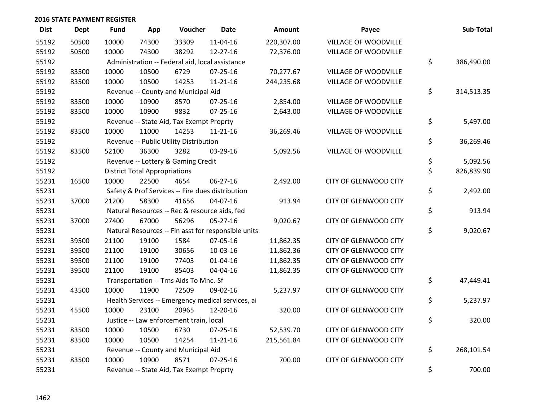| <b>Dist</b> | <b>Dept</b> | <b>Fund</b> | App                                  | Voucher                                         | <b>Date</b>                                         | <b>Amount</b> | Payee                        | Sub-Total        |
|-------------|-------------|-------------|--------------------------------------|-------------------------------------------------|-----------------------------------------------------|---------------|------------------------------|------------------|
| 55192       | 50500       | 10000       | 74300                                | 33309                                           | 11-04-16                                            | 220,307.00    | VILLAGE OF WOODVILLE         |                  |
| 55192       | 50500       | 10000       | 74300                                | 38292                                           | 12-27-16                                            | 72,376.00     | VILLAGE OF WOODVILLE         |                  |
| 55192       |             |             |                                      | Administration -- Federal aid, local assistance |                                                     |               |                              | \$<br>386,490.00 |
| 55192       | 83500       | 10000       | 10500                                | 6729                                            | $07 - 25 - 16$                                      | 70,277.67     | VILLAGE OF WOODVILLE         |                  |
| 55192       | 83500       | 10000       | 10500                                | 14253                                           | $11 - 21 - 16$                                      | 244,235.68    | VILLAGE OF WOODVILLE         |                  |
| 55192       |             |             |                                      | Revenue -- County and Municipal Aid             |                                                     |               |                              | \$<br>314,513.35 |
| 55192       | 83500       | 10000       | 10900                                | 8570                                            | 07-25-16                                            | 2,854.00      | VILLAGE OF WOODVILLE         |                  |
| 55192       | 83500       | 10000       | 10900                                | 9832                                            | 07-25-16                                            | 2,643.00      | VILLAGE OF WOODVILLE         |                  |
| 55192       |             |             |                                      | Revenue -- State Aid, Tax Exempt Proprty        |                                                     |               |                              | \$<br>5,497.00   |
| 55192       | 83500       | 10000       | 11000                                | 14253                                           | $11 - 21 - 16$                                      | 36,269.46     | VILLAGE OF WOODVILLE         |                  |
| 55192       |             |             |                                      | Revenue -- Public Utility Distribution          |                                                     |               |                              | \$<br>36,269.46  |
| 55192       | 83500       | 52100       | 36300                                | 3282                                            | 03-29-16                                            | 5,092.56      | VILLAGE OF WOODVILLE         |                  |
| 55192       |             |             |                                      | Revenue -- Lottery & Gaming Credit              |                                                     |               |                              | \$<br>5,092.56   |
| 55192       |             |             | <b>District Total Appropriations</b> |                                                 |                                                     |               |                              | \$<br>826,839.90 |
| 55231       | 16500       | 10000       | 22500                                | 4654                                            | 06-27-16                                            | 2,492.00      | CITY OF GLENWOOD CITY        |                  |
| 55231       |             |             |                                      |                                                 | Safety & Prof Services -- Fire dues distribution    |               |                              | \$<br>2,492.00   |
| 55231       | 37000       | 21200       | 58300                                | 41656                                           | 04-07-16                                            | 913.94        | CITY OF GLENWOOD CITY        |                  |
| 55231       |             |             |                                      | Natural Resources -- Rec & resource aids, fed   |                                                     |               |                              | \$<br>913.94     |
| 55231       | 37000       | 27400       | 67000                                | 56296                                           | $05 - 27 - 16$                                      | 9,020.67      | CITY OF GLENWOOD CITY        |                  |
| 55231       |             |             |                                      |                                                 | Natural Resources -- Fin asst for responsible units |               |                              | \$<br>9,020.67   |
| 55231       | 39500       | 21100       | 19100                                | 1584                                            | 07-05-16                                            | 11,862.35     | CITY OF GLENWOOD CITY        |                  |
| 55231       | 39500       | 21100       | 19100                                | 30656                                           | 10-03-16                                            | 11,862.36     | CITY OF GLENWOOD CITY        |                  |
| 55231       | 39500       | 21100       | 19100                                | 77403                                           | $01 - 04 - 16$                                      | 11,862.35     | CITY OF GLENWOOD CITY        |                  |
| 55231       | 39500       | 21100       | 19100                                | 85403                                           | 04-04-16                                            | 11,862.35     | CITY OF GLENWOOD CITY        |                  |
| 55231       |             |             |                                      | Transportation -- Trns Aids To Mnc.-Sf          |                                                     |               |                              | \$<br>47,449.41  |
| 55231       | 43500       | 10000       | 11900                                | 72509                                           | 09-02-16                                            | 5,237.97      | CITY OF GLENWOOD CITY        |                  |
| 55231       |             |             |                                      |                                                 | Health Services -- Emergency medical services, ai   |               |                              | \$<br>5,237.97   |
| 55231       | 45500       | 10000       | 23100                                | 20965                                           | 12-20-16                                            | 320.00        | CITY OF GLENWOOD CITY        |                  |
| 55231       |             |             |                                      | Justice -- Law enforcement train, local         |                                                     |               |                              | \$<br>320.00     |
| 55231       | 83500       | 10000       | 10500                                | 6730                                            | 07-25-16                                            | 52,539.70     | <b>CITY OF GLENWOOD CITY</b> |                  |
| 55231       | 83500       | 10000       | 10500                                | 14254                                           | $11 - 21 - 16$                                      | 215,561.84    | CITY OF GLENWOOD CITY        |                  |
| 55231       |             |             |                                      | Revenue -- County and Municipal Aid             |                                                     |               |                              | \$<br>268,101.54 |
| 55231       | 83500       | 10000       | 10900                                | 8571                                            | $07 - 25 - 16$                                      | 700.00        | <b>CITY OF GLENWOOD CITY</b> |                  |
| 55231       |             |             |                                      | Revenue -- State Aid, Tax Exempt Proprty        |                                                     |               |                              | \$<br>700.00     |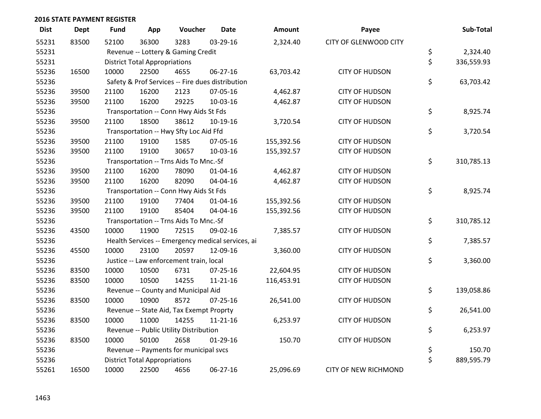| <b>Dist</b> | <b>Dept</b> | <b>Fund</b> | App                                  | Voucher                                           | <b>Date</b>    | Amount     | Payee                        | Sub-Total        |
|-------------|-------------|-------------|--------------------------------------|---------------------------------------------------|----------------|------------|------------------------------|------------------|
| 55231       | 83500       | 52100       | 36300                                | 3283                                              | 03-29-16       | 2,324.40   | <b>CITY OF GLENWOOD CITY</b> |                  |
| 55231       |             |             |                                      | Revenue -- Lottery & Gaming Credit                |                |            |                              | \$<br>2,324.40   |
| 55231       |             |             | <b>District Total Appropriations</b> |                                                   |                |            |                              | \$<br>336,559.93 |
| 55236       | 16500       | 10000       | 22500                                | 4655                                              | 06-27-16       | 63,703.42  | <b>CITY OF HUDSON</b>        |                  |
| 55236       |             |             |                                      | Safety & Prof Services -- Fire dues distribution  |                |            |                              | \$<br>63,703.42  |
| 55236       | 39500       | 21100       | 16200                                | 2123                                              | 07-05-16       | 4,462.87   | <b>CITY OF HUDSON</b>        |                  |
| 55236       | 39500       | 21100       | 16200                                | 29225                                             | 10-03-16       | 4,462.87   | <b>CITY OF HUDSON</b>        |                  |
| 55236       |             |             |                                      | Transportation -- Conn Hwy Aids St Fds            |                |            |                              | \$<br>8,925.74   |
| 55236       | 39500       | 21100       | 18500                                | 38612                                             | 10-19-16       | 3,720.54   | <b>CITY OF HUDSON</b>        |                  |
| 55236       |             |             |                                      | Transportation -- Hwy Sfty Loc Aid Ffd            |                |            |                              | \$<br>3,720.54   |
| 55236       | 39500       | 21100       | 19100                                | 1585                                              | 07-05-16       | 155,392.56 | <b>CITY OF HUDSON</b>        |                  |
| 55236       | 39500       | 21100       | 19100                                | 30657                                             | 10-03-16       | 155,392.57 | <b>CITY OF HUDSON</b>        |                  |
| 55236       |             |             |                                      | Transportation -- Trns Aids To Mnc.-Sf            |                |            |                              | \$<br>310,785.13 |
| 55236       | 39500       | 21100       | 16200                                | 78090                                             | $01 - 04 - 16$ | 4,462.87   | <b>CITY OF HUDSON</b>        |                  |
| 55236       | 39500       | 21100       | 16200                                | 82090                                             | 04-04-16       | 4,462.87   | <b>CITY OF HUDSON</b>        |                  |
| 55236       |             |             |                                      | Transportation -- Conn Hwy Aids St Fds            |                |            |                              | \$<br>8,925.74   |
| 55236       | 39500       | 21100       | 19100                                | 77404                                             | $01 - 04 - 16$ | 155,392.56 | <b>CITY OF HUDSON</b>        |                  |
| 55236       | 39500       | 21100       | 19100                                | 85404                                             | 04-04-16       | 155,392.56 | <b>CITY OF HUDSON</b>        |                  |
| 55236       |             |             |                                      | Transportation -- Trns Aids To Mnc.-Sf            |                |            |                              | \$<br>310,785.12 |
| 55236       | 43500       | 10000       | 11900                                | 72515                                             | 09-02-16       | 7,385.57   | <b>CITY OF HUDSON</b>        |                  |
| 55236       |             |             |                                      | Health Services -- Emergency medical services, ai |                |            |                              | \$<br>7,385.57   |
| 55236       | 45500       | 10000       | 23100                                | 20597                                             | 12-09-16       | 3,360.00   | <b>CITY OF HUDSON</b>        |                  |
| 55236       |             |             |                                      | Justice -- Law enforcement train, local           |                |            |                              | \$<br>3,360.00   |
| 55236       | 83500       | 10000       | 10500                                | 6731                                              | $07 - 25 - 16$ | 22,604.95  | <b>CITY OF HUDSON</b>        |                  |
| 55236       | 83500       | 10000       | 10500                                | 14255                                             | $11 - 21 - 16$ | 116,453.91 | <b>CITY OF HUDSON</b>        |                  |
| 55236       |             |             |                                      | Revenue -- County and Municipal Aid               |                |            |                              | \$<br>139,058.86 |
| 55236       | 83500       | 10000       | 10900                                | 8572                                              | $07 - 25 - 16$ | 26,541.00  | <b>CITY OF HUDSON</b>        |                  |
| 55236       |             |             |                                      | Revenue -- State Aid, Tax Exempt Proprty          |                |            |                              | \$<br>26,541.00  |
| 55236       | 83500       | 10000       | 11000                                | 14255                                             | $11 - 21 - 16$ | 6,253.97   | <b>CITY OF HUDSON</b>        |                  |
| 55236       |             |             |                                      | Revenue -- Public Utility Distribution            |                |            |                              | \$<br>6,253.97   |
| 55236       | 83500       | 10000       | 50100                                | 2658                                              | $01-29-16$     | 150.70     | <b>CITY OF HUDSON</b>        |                  |
| 55236       |             |             |                                      | Revenue -- Payments for municipal svcs            |                |            |                              | \$<br>150.70     |
| 55236       |             |             | <b>District Total Appropriations</b> |                                                   |                |            |                              | \$<br>889,595.79 |
| 55261       | 16500       | 10000       | 22500                                | 4656                                              | 06-27-16       | 25,096.69  | <b>CITY OF NEW RICHMOND</b>  |                  |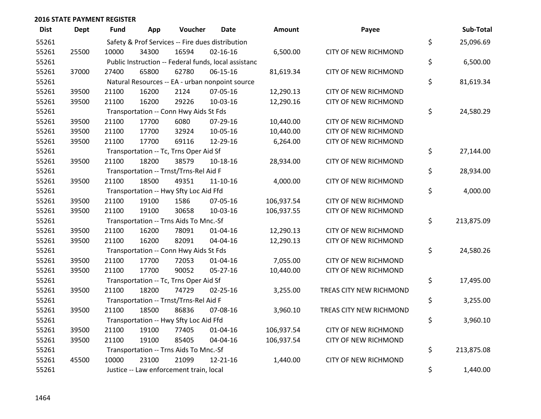| <b>Dist</b> | <b>Dept</b> | <b>Fund</b>                                      | App             | Voucher                                | <b>Date</b>                                          | <b>Amount</b> | Payee                       | Sub-Total        |
|-------------|-------------|--------------------------------------------------|-----------------|----------------------------------------|------------------------------------------------------|---------------|-----------------------------|------------------|
| 55261       |             | Safety & Prof Services -- Fire dues distribution | \$<br>25,096.69 |                                        |                                                      |               |                             |                  |
| 55261       | 25500       | 10000                                            | 34300           | 16594                                  | $02 - 16 - 16$                                       | 6,500.00      | <b>CITY OF NEW RICHMOND</b> |                  |
| 55261       |             |                                                  |                 |                                        | Public Instruction -- Federal funds, local assistanc |               |                             | \$<br>6,500.00   |
| 55261       | 37000       | 27400                                            | 65800           | 62780                                  | 06-15-16                                             | 81,619.34     | CITY OF NEW RICHMOND        |                  |
| 55261       |             |                                                  |                 |                                        | Natural Resources -- EA - urban nonpoint source      |               |                             | \$<br>81,619.34  |
| 55261       | 39500       | 21100                                            | 16200           | 2124                                   | 07-05-16                                             | 12,290.13     | <b>CITY OF NEW RICHMOND</b> |                  |
| 55261       | 39500       | 21100                                            | 16200           | 29226                                  | 10-03-16                                             | 12,290.16     | CITY OF NEW RICHMOND        |                  |
| 55261       |             |                                                  |                 | Transportation -- Conn Hwy Aids St Fds |                                                      |               |                             | \$<br>24,580.29  |
| 55261       | 39500       | 21100                                            | 17700           | 6080                                   | 07-29-16                                             | 10,440.00     | <b>CITY OF NEW RICHMOND</b> |                  |
| 55261       | 39500       | 21100                                            | 17700           | 32924                                  | 10-05-16                                             | 10,440.00     | CITY OF NEW RICHMOND        |                  |
| 55261       | 39500       | 21100                                            | 17700           | 69116                                  | 12-29-16                                             | 6,264.00      | CITY OF NEW RICHMOND        |                  |
| 55261       |             |                                                  |                 | Transportation -- Tc, Trns Oper Aid Sf |                                                      |               |                             | \$<br>27,144.00  |
| 55261       | 39500       | 21100                                            | 18200           | 38579                                  | $10-18-16$                                           | 28,934.00     | <b>CITY OF NEW RICHMOND</b> |                  |
| 55261       |             |                                                  |                 | Transportation -- Trnst/Trns-Rel Aid F |                                                      |               |                             | \$<br>28,934.00  |
| 55261       | 39500       | 21100                                            | 18500           | 49351                                  | $11 - 10 - 16$                                       | 4,000.00      | CITY OF NEW RICHMOND        |                  |
| 55261       |             |                                                  |                 | Transportation -- Hwy Sfty Loc Aid Ffd |                                                      |               |                             | \$<br>4,000.00   |
| 55261       | 39500       | 21100                                            | 19100           | 1586                                   | 07-05-16                                             | 106,937.54    | <b>CITY OF NEW RICHMOND</b> |                  |
| 55261       | 39500       | 21100                                            | 19100           | 30658                                  | 10-03-16                                             | 106,937.55    | <b>CITY OF NEW RICHMOND</b> |                  |
| 55261       |             |                                                  |                 | Transportation -- Trns Aids To Mnc.-Sf |                                                      |               |                             | \$<br>213,875.09 |
| 55261       | 39500       | 21100                                            | 16200           | 78091                                  | $01 - 04 - 16$                                       | 12,290.13     | CITY OF NEW RICHMOND        |                  |
| 55261       | 39500       | 21100                                            | 16200           | 82091                                  | 04-04-16                                             | 12,290.13     | CITY OF NEW RICHMOND        |                  |
| 55261       |             |                                                  |                 | Transportation -- Conn Hwy Aids St Fds |                                                      |               |                             | \$<br>24,580.26  |
| 55261       | 39500       | 21100                                            | 17700           | 72053                                  | $01 - 04 - 16$                                       | 7,055.00      | CITY OF NEW RICHMOND        |                  |
| 55261       | 39500       | 21100                                            | 17700           | 90052                                  | 05-27-16                                             | 10,440.00     | CITY OF NEW RICHMOND        |                  |
| 55261       |             |                                                  |                 | Transportation -- Tc, Trns Oper Aid Sf |                                                      |               |                             | \$<br>17,495.00  |
| 55261       | 39500       | 21100                                            | 18200           | 74729                                  | $02 - 25 - 16$                                       | 3,255.00      | TREAS CITY NEW RICHMOND     |                  |
| 55261       |             |                                                  |                 | Transportation -- Trnst/Trns-Rel Aid F |                                                      |               |                             | \$<br>3,255.00   |
| 55261       | 39500       | 21100                                            | 18500           | 86836                                  | 07-08-16                                             | 3,960.10      | TREAS CITY NEW RICHMOND     |                  |
| 55261       |             |                                                  |                 | Transportation -- Hwy Sfty Loc Aid Ffd |                                                      |               |                             | \$<br>3,960.10   |
| 55261       | 39500       | 21100                                            | 19100           | 77405                                  | $01 - 04 - 16$                                       | 106,937.54    | <b>CITY OF NEW RICHMOND</b> |                  |
| 55261       | 39500       | 21100                                            | 19100           | 85405                                  | 04-04-16                                             | 106,937.54    | CITY OF NEW RICHMOND        |                  |
| 55261       |             |                                                  |                 | Transportation -- Trns Aids To Mnc.-Sf |                                                      |               |                             | \$<br>213,875.08 |
| 55261       | 45500       | 10000                                            | 23100           | 21099                                  | 12-21-16                                             | 1,440.00      | <b>CITY OF NEW RICHMOND</b> |                  |
| 55261       |             | Justice -- Law enforcement train, local          | \$<br>1,440.00  |                                        |                                                      |               |                             |                  |